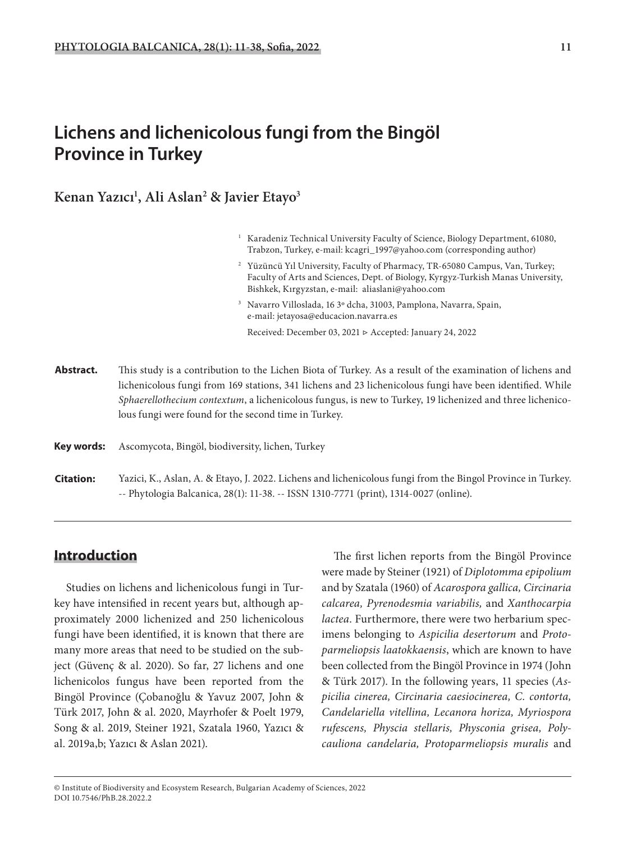# **Lichens and lichenicolous fungi from the Bingöl Province in Turkey**

**Kenan Yazıcı1 , Ali Aslan2 & Javier Etayo3**

| <sup>1</sup> Karadeniz Technical University Faculty of Science, Biology Department, 61080, |  |
|--------------------------------------------------------------------------------------------|--|
| Trabzon, Turkey, e-mail: kcagri_1997@yahoo.com (corresponding author)                      |  |

- <sup>2</sup> Yüzüncü Yıl University, Faculty of Pharmacy, TR-65080 Campus, Van, Turkey; Faculty of Arts and Sciences, Dept. of Biology, Kyrgyz-Turkish Manas University, Bishkek, Kırgyzstan, e-mail: aliaslani@yahoo.com
- 3 Navarro Villoslada, 16 3º dcha, 31003, Pamplona, Navarra, Spain, e-mail: jetayosa@educacion.navarra.es Received: December 03, 2021 ▷ Accepted: January 24, 2022
- **Abstract.** This study is a contribution to the Lichen Biota of Turkey. As a result of the examination of lichens and lichenicolous fungi from 169 stations, 341 lichens and 23 lichenicolous fungi have been identified. While *Sphaerellothecium contextum*, a lichenicolous fungus, is new to Turkey, 19 lichenized and three lichenicolous fungi were found for the second time in Turkey.
- **Key words:** Ascomycota, Bingöl, biodiversity, lichen, Turkey
- Yazici, K., Aslan, A. & Etayo, J. 2022. Lichens and lichenicolous fungi from the Bingol Province in Turkey. -- Phytologia Balcanica, 28(1): 11-38. -- ISSN 1310-7771 (print), 1314-0027 (online). **Citation:**

### **Introduction**

Studies on lichens and lichenicolous fungi in Turkey have intensified in recent years but, although approximately 2000 lichenized and 250 lichenicolous fungi have been identified, it is known that there are many more areas that need to be studied on the subject (Güvenç & al. 2020). So far, 27 lichens and one lichenicolos fungus have been reported from the Bingöl Province (Çobanoğlu & Yavuz 2007, John & Türk 2017, John & al. 2020, Mayrhofer & Poelt 1979, Song & al. 2019, Steiner 1921, Szatala 1960, Yazıcı & al. 2019a,b; Yazıcı & Aslan 2021).

The first lichen reports from the Bingöl Province were made by Steiner (1921) of *Diplotomma epipolium* and by Szatala (1960) of *Acarospora gallica, Circinaria calcarea, Pyrenodesmia variabilis,* and *Xanthocarpia lactea*. Furthermore, there were two herbarium specimens belonging to *Aspicilia desertorum* and *Protoparmeliopsis laatokkaensis*, which are known to have been collected from the Bingöl Province in 1974 (John & Türk 2017). In the following years, 11 species (*Aspicilia cinerea, Circinaria caesiocinerea, C. contorta, Candelariella vitellina, Lecanora horiza, Myriospora rufescens, Physcia stellaris, Physconia grisea, Polycauliona candelaria, Protoparmeliopsis muralis* and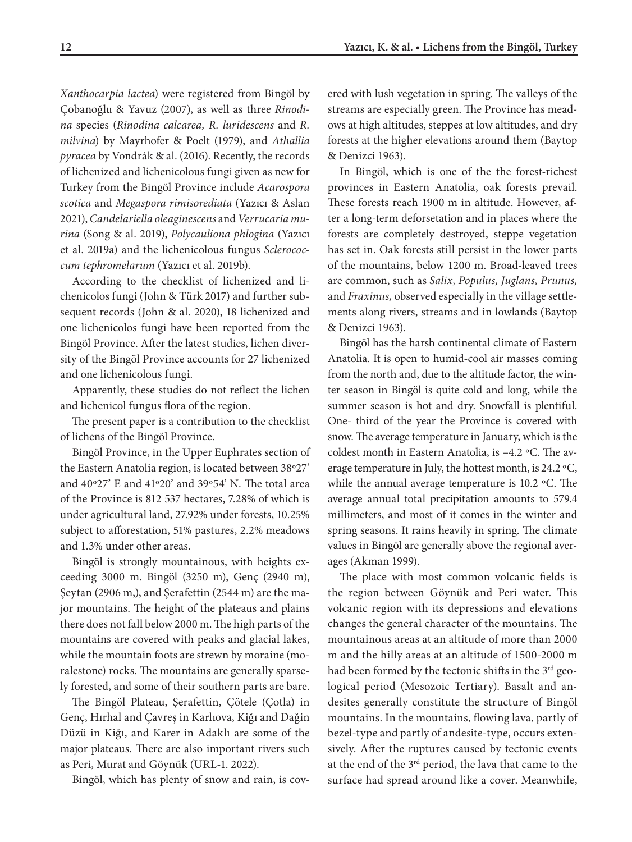*Xanthocarpia lactea*) were registered from Bingöl by Çobanoğlu & Yavuz (2007), as well as three *Rinodina* species (*Rinodina calcarea, R. luridescens* and *R. milvina*) by Mayrhofer & Poelt (1979), and *Athallia pyracea* by Vondrák & al. (2016). Recently, the records of lichenized and lichenicolous fungi given as new for Turkey from the Bingöl Province include *Acarospora scotica* and *Megaspora rimisorediata* (Yazıcı & Aslan 2021), *Candelariella oleaginescens* and *Verrucaria murina* (Song & al. 2019), *Polycauliona phlogina* (Yazıcı et al. 2019a) and the lichenicolous fungus *Sclerococcum tephromelarum* (Yazıcı et al. 2019b).

According to the checklist of lichenized and lichenicolos fungi (John & Türk 2017) and further subsequent records (John & al. 2020), 18 lichenized and one lichenicolos fungi have been reported from the Bingöl Province. After the latest studies, lichen diversity of the Bingöl Province accounts for 27 lichenized and one lichenicolous fungi.

Apparently, these studies do not reflect the lichen and lichenicol fungus flora of the region.

The present paper is a contribution to the checklist of lichens of the Bingöl Province.

Bingöl Province, in the Upper Euphrates section of the Eastern Anatolia region, is located between 38º27' and 40º27' E and 41º20' and 39º54' N. The total area of the Province is 812 537 hectares, 7.28% of which is under agricultural land, 27.92% under forests, 10.25% subject to afforestation, 51% pastures, 2.2% meadows and 1.3% under other areas.

Bingöl is strongly mountainous, with heights exceeding 3000 m. Bingöl (3250 m), Genç (2940 m), Şeytan (2906 m,), and Şerafettin (2544 m) are the major mountains. The height of the plateaus and plains there does not fall below 2000 m. The high parts of the mountains are covered with peaks and glacial lakes, while the mountain foots are strewn by moraine (moralestone) rocks. The mountains are generally sparsely forested, and some of their southern parts are bare.

The Bingöl Plateau, Şerafettin, Çötele (Çotla) in Genç, Hırhal and Çavreş in Karlıova, Kiğı and Dağin Düzü in Kiğı, and Karer in Adaklı are some of the major plateaus. There are also important rivers such as Peri, Murat and Göynük (URL-1. 2022).

Bingöl, which has plenty of snow and rain, is cov-

ered with lush vegetation in spring. The valleys of the streams are especially green. The Province has meadows at high altitudes, steppes at low altitudes, and dry forests at the higher elevations around them (Baytop & Denizci 1963).

In Bingöl, which is one of the the forest-richest provinces in Eastern Anatolia, oak forests prevail. These forests reach 1900 m in altitude. However, after a long-term deforsetation and in places where the forests are completely destroyed, steppe vegetation has set in. Oak forests still persist in the lower parts of the mountains, below 1200 m. Broad-leaved trees are common, such as *Salix, Populus, Juglans, Prunus,*  and *Fraxinus,* observed especially in the village settlements along rivers, streams and in lowlands (Baytop & Denizci 1963).

Bingöl has the harsh continental climate of Eastern Anatolia. It is open to humid-cool air masses coming from the north and, due to the altitude factor, the winter season in Bingöl is quite cold and long, while the summer season is hot and dry. Snowfall is plentiful. One- third of the year the Province is covered with snow. The average temperature in January, which is the coldest month in Eastern Anatolia, is –4.2 ºC. The average temperature in July, the hottest month, is 24.2 ºC, while the annual average temperature is 10.2 ºC. The average annual total precipitation amounts to 579.4 millimeters, and most of it comes in the winter and spring seasons. It rains heavily in spring. The climate values in Bingöl are generally above the regional averages (Akman 1999).

The place with most common volcanic fields is the region between Göynük and Peri water. This volcanic region with its depressions and elevations changes the general character of the mountains. The mountainous areas at an altitude of more than 2000 m and the hilly areas at an altitude of 1500-2000 m had been formed by the tectonic shifts in the 3<sup>rd</sup> geological period (Mesozoic Tertiary). Basalt and andesites generally constitute the structure of Bingöl mountains. In the mountains, flowing lava, partly of bezel-type and partly of andesite-type, occurs extensively. After the ruptures caused by tectonic events at the end of the 3rd period, the lava that came to the surface had spread around like a cover. Meanwhile,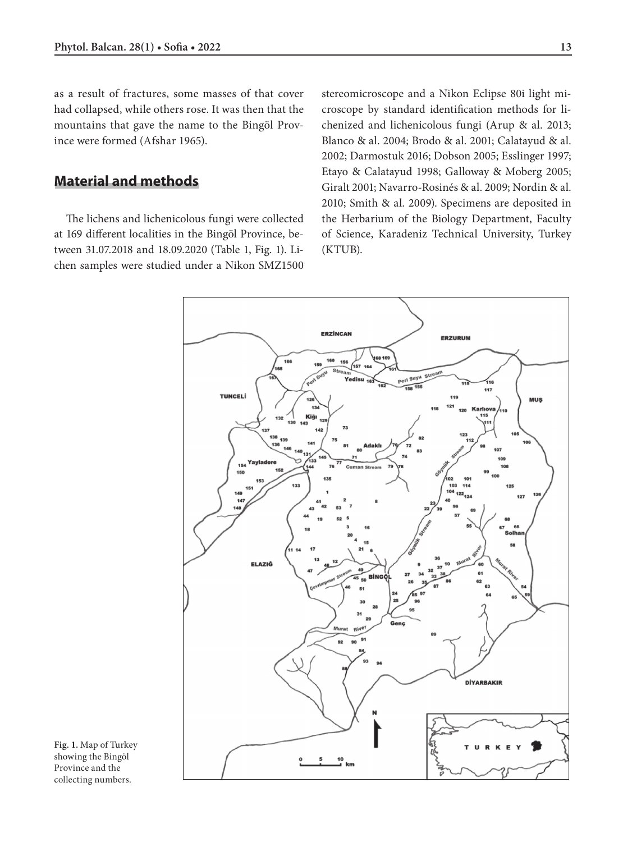as a result of fractures, some masses of that cover had collapsed, while others rose. It was then that the mountains that gave the name to the Bingöl Province were formed (Afshar 1965).

### **Material and methods**

The lichens and lichenicolous fungi were collected at 169 different localities in the Bingöl Province, between 31.07.2018 and 18.09.2020 (Table 1, Fig. 1). Lichen samples were studied under a Nikon SMZ1500

stereomicroscope and a Nikon Eclipse 80i light microscope by standard identification methods for lichenized and lichenicolous fungi (Arup & al. 2013; Blanco & al. 2004; Brodo & al. 2001; Calatayud & al. 2002; Darmostuk 2016; Dobson 2005; Esslinger 1997; Etayo & Calatayud 1998; Galloway & Moberg 2005; Giralt 2001; Navarro-Rosinés & al. 2009; Nordin & al. 2010; Smith & al. 2009). Specimens are deposited in the Herbarium of the Biology Department, Faculty of Science, Karadeniz Technical University, Turkey (KTUB).



**Fig. 1.** Map of Turkey showing the Bingöl Province and the collecting numbers.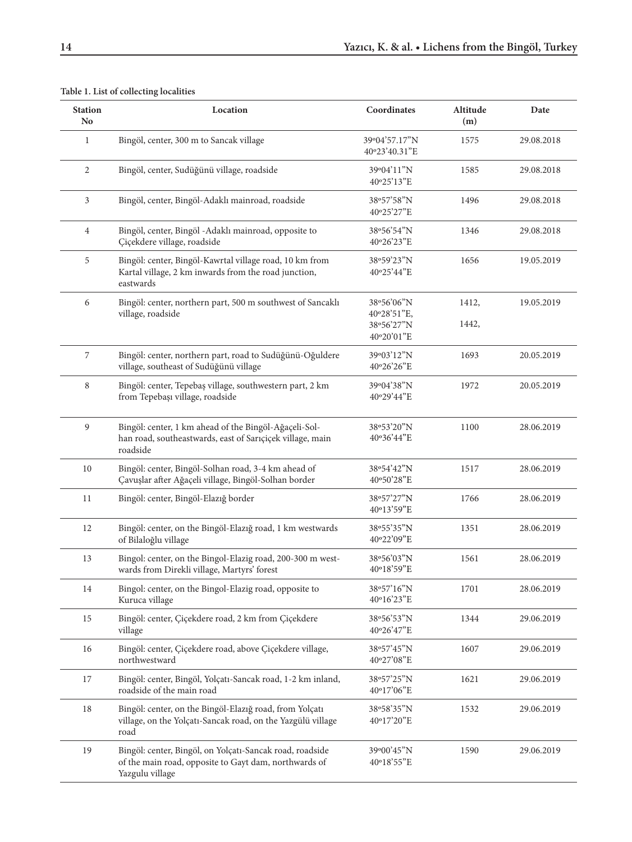| <b>Station</b><br>N <sub>o</sub>                                                     | Location                                                                                                                     | Coordinates                    | Altitude<br>(m) | Date       |
|--------------------------------------------------------------------------------------|------------------------------------------------------------------------------------------------------------------------------|--------------------------------|-----------------|------------|
| $\mathbf{1}$                                                                         | Bingöl, center, 300 m to Sancak village                                                                                      | 39°04'57.17"N<br>40°23'40.31"E | 1575            | 29.08.2018 |
| $\overline{2}$                                                                       | Bingöl, center, Sudüğünü village, roadside                                                                                   | 39°04'11"N<br>40°25'13"E       | 1585            | 29.08.2018 |
| 3                                                                                    | Bingöl, center, Bingöl-Adaklı mainroad, roadside                                                                             | 38°57'58"N<br>40°25'27"E       | 1496            | 29.08.2018 |
| $\overline{4}$                                                                       | Bingöl, center, Bingöl - Adaklı mainroad, opposite to<br>Çiçekdere village, roadside                                         | 38°56'54"N<br>40°26'23"E       | 1346            | 29.08.2018 |
| 5                                                                                    | Bingöl: center, Bingöl-Kawrtal village road, 10 km from<br>Kartal village, 2 km inwards from the road junction,<br>eastwards | 38°59'23"N<br>40°25'44"E       | 1656            | 19.05.2019 |
| 6<br>Bingöl: center, northern part, 500 m southwest of Sancaklı<br>village, roadside |                                                                                                                              | 38°56'06"N<br>40°28'51"E,      | 1412,           | 19.05.2019 |
|                                                                                      |                                                                                                                              | 38°56'27"N                     | 1442,           |            |
|                                                                                      |                                                                                                                              | 40°20'01"E                     |                 |            |
| 7                                                                                    | Bingöl: center, northern part, road to Sudüğünü-Oğuldere                                                                     | 39°03'12"N                     | 1693            | 20.05.2019 |
|                                                                                      | village, southeast of Sudüğünü village                                                                                       | 40°26'26"E                     |                 |            |
| $\,8\,$                                                                              | Bingöl: center, Tepebaş village, southwestern part, 2 km                                                                     | 39°04'38"N                     | 1972            | 20.05.2019 |
|                                                                                      | from Tepebaşı village, roadside                                                                                              | 40°29'44"E                     |                 |            |
| 9                                                                                    | Bingöl: center, 1 km ahead of the Bingöl-Ağaçeli-Sol-                                                                        | 38°53'20"N                     | 1100            | 28.06.2019 |
|                                                                                      | han road, southeastwards, east of Sarıçiçek village, main                                                                    | 40°36'44"E                     |                 |            |
|                                                                                      | roadside                                                                                                                     |                                |                 |            |
| 10                                                                                   | Bingöl: center, Bingöl-Solhan road, 3-4 km ahead of                                                                          | 38°54'42"N                     | 1517            | 28.06.2019 |
|                                                                                      | Çavuşlar after Ağaçeli village, Bingöl-Solhan border                                                                         | 40°50'28"E                     |                 |            |
| 11                                                                                   | Bingöl: center, Bingöl-Elazığ border                                                                                         | 38°57'27"N                     | 1766            | 28.06.2019 |
|                                                                                      |                                                                                                                              | 40°13'59"E                     |                 |            |
| 12                                                                                   | Bingöl: center, on the Bingöl-Elazığ road, 1 km westwards<br>of Bilaloğlu village                                            | 38°55'35"N<br>40°22'09"E       | 1351            | 28.06.2019 |
|                                                                                      |                                                                                                                              |                                |                 |            |
| 13                                                                                   | Bingol: center, on the Bingol-Elazig road, 200-300 m west-<br>wards from Direkli village, Martyrs' forest                    | 38°56'03"N<br>40°18'59"E       | 1561            | 28.06.2019 |
| 14                                                                                   | Bingol: center, on the Bingol-Elazig road, opposite to                                                                       | 38°57'16"N                     | 1701            | 28.06.2019 |
|                                                                                      | Kuruca village                                                                                                               | 40°16'23"E                     |                 |            |
| 15                                                                                   | Bingöl: center, Çiçekdere road, 2 km from Çiçekdere                                                                          | 38°56'53"N                     | 1344            | 29.06.2019 |
|                                                                                      | village                                                                                                                      | 40°26'47"E                     |                 |            |
| 16                                                                                   | Bingöl: center, Çiçekdere road, above Çiçekdere village,                                                                     | 38°57'45"N                     | 1607            | 29.06.2019 |
|                                                                                      | northwestward                                                                                                                | 40°27'08"E                     |                 |            |
| 17                                                                                   | Bingöl: center, Bingöl, Yolçatı-Sancak road, 1-2 km inland,                                                                  | 38°57'25"N                     | 1621            | 29.06.2019 |
|                                                                                      | roadside of the main road                                                                                                    | 40°17'06"E                     |                 |            |
| 18                                                                                   | Bingöl: center, on the Bingöl-Elazığ road, from Yolçatı                                                                      | 38°58'35"N                     | 1532            | 29.06.2019 |
|                                                                                      | village, on the Yolçatı-Sancak road, on the Yazgülü village<br>road                                                          | 40°17'20"E                     |                 |            |
| 19                                                                                   | Bingöl: center, Bingöl, on Yolçatı-Sancak road, roadside                                                                     | 39°00'45"N                     | 1590            | 29.06.2019 |
|                                                                                      | of the main road, opposite to Gayt dam, northwards of                                                                        | 40°18'55"E                     |                 |            |
|                                                                                      | Yazgulu village                                                                                                              |                                |                 |            |

#### **Table 1. List of collecting localities**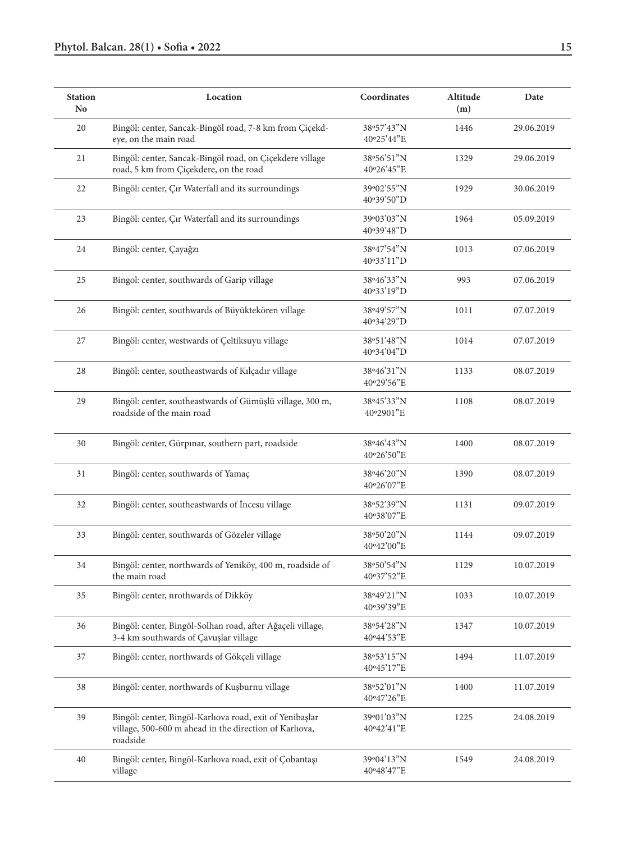| <b>Station</b><br>N <sub>0</sub> | Location                                                                                                                       |                          | Altitude<br>(m) | Date       |
|----------------------------------|--------------------------------------------------------------------------------------------------------------------------------|--------------------------|-----------------|------------|
| 20                               | Bingöl: center, Sancak-Bingöl road, 7-8 km from Çiçekd-<br>eye, on the main road                                               | 38°57'43"N<br>40°25'44"E | 1446            | 29.06.2019 |
| 21                               | Bingöl: center, Sancak-Bingöl road, on Çiçekdere village<br>road, 5 km from Çiçekdere, on the road                             | 38°56'51"N<br>40°26'45"E | 1329            | 29.06.2019 |
| 22                               | Bingöl: center, Çır Waterfall and its surroundings                                                                             | 39°02'55"N<br>40°39'50"D | 1929            | 30.06.2019 |
| 23                               | Bingöl: center, Çır Waterfall and its surroundings                                                                             | 39°03'03"N<br>40°39'48"D | 1964            | 05.09.2019 |
| 24                               | Bingöl: center, Çayağzı                                                                                                        | 38°47'54"N<br>40°33'11"D | 1013            | 07.06.2019 |
| 25                               | Bingol: center, southwards of Garip village                                                                                    | 38°46'33"N<br>40°33'19"D | 993             | 07.06.2019 |
| 26                               | Bingöl: center, southwards of Büyüktekören village                                                                             | 38°49'57"N<br>40°34'29"D | 1011            | 07.07.2019 |
| 27                               | Bingöl: center, westwards of Çeltiksuyu village                                                                                | 38°51'48"N<br>40°34'04"D | 1014            | 07.07.2019 |
| 28                               | Bingöl: center, southeastwards of Kılçadır village                                                                             | 38°46'31"N<br>40°29'56"E | 1133            | 08.07.2019 |
| 29                               | Bingöl: center, southeastwards of Gümüşlü village, 300 m,<br>roadside of the main road                                         | 38°45'33"N<br>40°2901"E  | 1108            | 08.07.2019 |
| 30                               | Bingöl: center, Gürpınar, southern part, roadside                                                                              | 38°46'43"N<br>40°26'50"E | 1400            | 08.07.2019 |
| 31                               | Bingöl: center, southwards of Yamaç                                                                                            | 38°46'20"N<br>40°26'07"E | 1390            | 08.07.2019 |
| 32                               | Bingöl: center, southeastwards of İncesu village                                                                               | 38°52'39"N<br>40°38'07"E | 1131            | 09.07.2019 |
| 33                               | Bingöl: center, southwards of Gözeler village                                                                                  | 38°50'20"N<br>40°42'00"E | 1144            | 09.07.2019 |
| 34                               | Bingöl: center, northwards of Yeniköy, 400 m, roadside of<br>the main road                                                     | 38°50'54"N<br>40°37'52"E | 1129            | 10.07.2019 |
| 35                               | Bingöl: center, nrothwards of Dikköy                                                                                           | 38°49'21"N<br>40°39'39"E | 1033            | 10.07.2019 |
| 36                               | Bingöl: center, Bingöl-Solhan road, after Ağaçeli village,<br>3-4 km southwards of Çavuşlar village                            | 38°54'28"N<br>40°44'53"E | 1347            | 10.07.2019 |
| 37                               | Bingöl: center, northwards of Gökçeli village                                                                                  | 38°53'15"N<br>40°45'17"E | 1494            | 11.07.2019 |
| 38                               | Bingöl: center, northwards of Kuşburnu village                                                                                 | 38°52'01"N<br>40°47'26"E | 1400            | 11.07.2019 |
| 39                               | Bingöl: center, Bingöl-Karlıova road, exit of Yenibaşlar<br>village, 500-600 m ahead in the direction of Karlıova,<br>roadside | 39°01'03"N<br>40°42'41"E | 1225            | 24.08.2019 |
| $40\,$                           | Bingöl: center, Bingöl-Karlıova road, exit of Çobantaşı<br>village                                                             | 39°04'13"N<br>40°48'47"E | 1549            | 24.08.2019 |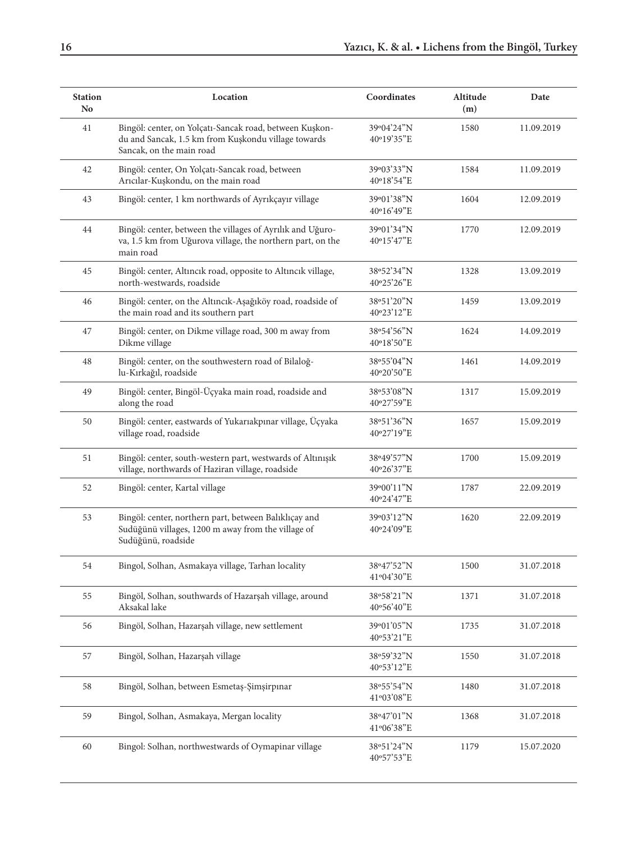| <b>Station</b><br>N <sub>0</sub> | Location                                                                                                                                   | Coordinates              | Altitude<br>(m) | Date       |
|----------------------------------|--------------------------------------------------------------------------------------------------------------------------------------------|--------------------------|-----------------|------------|
| 41                               | Bingöl: center, on Yolçatı-Sancak road, between Kuşkon-<br>du and Sancak, 1.5 km from Kuşkondu village towards<br>Sancak, on the main road | 39°04'24"N<br>40°19'35"E | 1580            | 11.09.2019 |
| 42                               | Bingöl: center, On Yolçatı-Sancak road, between<br>Arıcılar-Kuşkondu, on the main road                                                     | 39°03'33"N<br>40°18'54"E | 1584            | 11.09.2019 |
| 43                               | Bingöl: center, 1 km northwards of Ayrıkçayır village                                                                                      | 39°01'38"N<br>40°16'49"E | 1604            | 12.09.2019 |
| 44                               | Bingöl: center, between the villages of Ayrılık and Uğuro-<br>va, 1.5 km from Uğurova village, the northern part, on the<br>main road      | 39°01'34"N<br>40°15'47"E | 1770            | 12.09.2019 |
| 45                               | Bingöl: center, Altıncık road, opposite to Altıncık village,<br>north-westwards, roadside                                                  | 38°52'34"N<br>40°25'26"E | 1328            | 13.09.2019 |
| 46                               | Bingöl: center, on the Altıncık-Aşağıköy road, roadside of<br>the main road and its southern part                                          | 38°51'20"N<br>40°23'12"E | 1459            | 13.09.2019 |
| 47                               | Bingöl: center, on Dikme village road, 300 m away from<br>Dikme village                                                                    | 38°54'56"N<br>40°18'50"E | 1624            | 14.09.2019 |
| 48                               | Bingöl: center, on the southwestern road of Bilaloğ-<br>lu-Kırkağıl, roadside                                                              | 38°55'04"N<br>40°20'50"E | 1461            | 14.09.2019 |
| 49                               | Bingöl: center, Bingöl-Üçyaka main road, roadside and<br>along the road                                                                    | 38°53'08"N<br>40°27'59"E | 1317            | 15.09.2019 |
| 50                               | Bingöl: center, eastwards of Yukarıakpınar village, Üçyaka<br>village road, roadside                                                       | 38°51'36"N<br>40°27'19"E | 1657            | 15.09.2019 |
| 51                               | Bingöl: center, south-western part, westwards of Altınışık<br>village, northwards of Haziran village, roadside                             | 38°49'57"N<br>40°26'37"E | 1700            | 15.09.2019 |
| 52                               | Bingöl: center, Kartal village                                                                                                             | 39°00'11"N<br>40°24'47"E | 1787            | 22.09.2019 |
| 53                               | Bingöl: center, northern part, between Balıklıçay and<br>Sudüğünü villages, 1200 m away from the village of<br>Sudüğünü, roadside          | 39°03'12"N<br>40°24'09"E | 1620            | 22.09.2019 |
| 54                               | Bingol, Solhan, Asmakaya village, Tarhan locality                                                                                          | 38°47'52"N<br>41°04'30"E | 1500            | 31.07.2018 |
| 55                               | Bingöl, Solhan, southwards of Hazarşah village, around<br>Aksakal lake                                                                     | 38°58'21"N<br>40°56'40"E | 1371            | 31.07.2018 |
| 56                               | Bingöl, Solhan, Hazarşah village, new settlement                                                                                           | 39°01'05"N<br>40°53'21"E | 1735            | 31.07.2018 |
| 57                               | Bingöl, Solhan, Hazarşah village                                                                                                           | 38°59'32"N<br>40°53'12"E | 1550            | 31.07.2018 |
| 58                               | Bingöl, Solhan, between Esmetaş-Şimşirpınar                                                                                                | 38°55'54"N<br>41°03'08"E | 1480            | 31.07.2018 |
| 59                               | Bingol, Solhan, Asmakaya, Mergan locality                                                                                                  | 38°47'01"N<br>41°06'38"E | 1368            | 31.07.2018 |
| $60\,$                           | Bingol: Solhan, northwestwards of Oymapinar village                                                                                        | 38°51'24"N<br>40°57'53"E | 1179            | 15.07.2020 |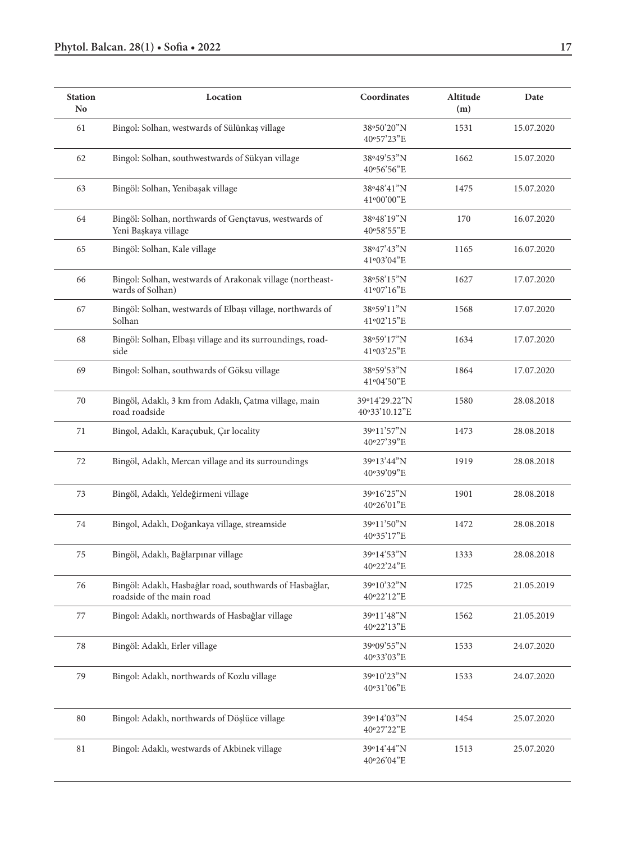| <b>Station</b><br>N <sub>o</sub> | Location                                                                              | Coordinates                    | Altitude<br>(m) | Date       |
|----------------------------------|---------------------------------------------------------------------------------------|--------------------------------|-----------------|------------|
| 61                               | Bingol: Solhan, westwards of Sülünkaş village                                         | 38°50'20"N<br>40°57'23"E       | 1531            | 15.07.2020 |
| 62                               | Bingol: Solhan, southwestwards of Sükyan village                                      | 38°49'53"N<br>40°56'56"E       | 1662            | 15.07.2020 |
| 63                               | Bingöl: Solhan, Yenibaşak village                                                     | 38°48'41"N<br>41°00'00"E       | 1475            | 15.07.2020 |
| 64                               | Bingöl: Solhan, northwards of Gençtavus, westwards of<br>Yeni Başkaya village         | 38°48'19"N<br>40°58'55"E       | 170             | 16.07.2020 |
| 65                               | Bingöl: Solhan, Kale village                                                          | 38°47'43"N<br>41°03'04"E       | 1165            | 16.07.2020 |
| 66                               | Bingol: Solhan, westwards of Arakonak village (northeast-<br>wards of Solhan)         | 38°58'15"N<br>41°07'16"E       | 1627            | 17.07.2020 |
| 67                               | Bingöl: Solhan, westwards of Elbaşı village, northwards of<br>Solhan                  | 38°59'11"N<br>41°02'15"E       | 1568            | 17.07.2020 |
| 68                               | Bingöl: Solhan, Elbaşı village and its surroundings, road-<br>side                    | 38°59'17"N<br>41°03'25"E       | 1634            | 17.07.2020 |
| 69                               | Bingol: Solhan, southwards of Göksu village                                           | 38°59'53"N<br>41°04'50"E       | 1864            | 17.07.2020 |
| 70                               | Bingöl, Adaklı, 3 km from Adaklı, Çatma village, main<br>road roadside                | 39°14'29.22"N<br>40°33'10.12"E | 1580            | 28.08.2018 |
| 71                               | Bingol, Adaklı, Karaçubuk, Çır locality                                               | 39°11'57"N<br>40°27'39"E       | 1473            | 28.08.2018 |
| 72                               | Bingöl, Adaklı, Mercan village and its surroundings                                   | 39°13'44"N<br>40°39'09"E       | 1919            | 28.08.2018 |
| 73                               | Bingöl, Adaklı, Yeldeğirmeni village                                                  | 39°16'25"N<br>40°26'01"E       | 1901            | 28.08.2018 |
| 74                               | Bingol, Adaklı, Doğankaya village, streamside                                         | 39°11'50"N<br>40°35'17"E       | 1472            | 28.08.2018 |
| 75                               | Bingöl, Adaklı, Bağlarpınar village                                                   | 39°14'53"N<br>40°22'24"E       | 1333            | 28.08.2018 |
| 76                               | Bingöl: Adaklı, Hasbağlar road, southwards of Hasbağlar,<br>roadside of the main road | 39°10'32"N<br>40°22'12"E       | 1725            | 21.05.2019 |
| 77                               | Bingol: Adaklı, northwards of Hasbağlar village                                       | 39°11'48"N<br>40°22'13"E       | 1562            | 21.05.2019 |
| 78                               | Bingöl: Adaklı, Erler village                                                         | 39°09'55"N<br>40°33'03"E       | 1533            | 24.07.2020 |
| 79                               | Bingol: Adaklı, northwards of Kozlu village                                           | 39°10'23"N<br>40°31'06"E       | 1533            | 24.07.2020 |
| 80                               | Bingol: Adaklı, northwards of Döşlüce village                                         | 39°14'03"N<br>40°27'22"E       | 1454            | 25.07.2020 |
| 81                               | Bingol: Adaklı, westwards of Akbinek village                                          | 39°14'44"N<br>40°26'04"E       | 1513            | 25.07.2020 |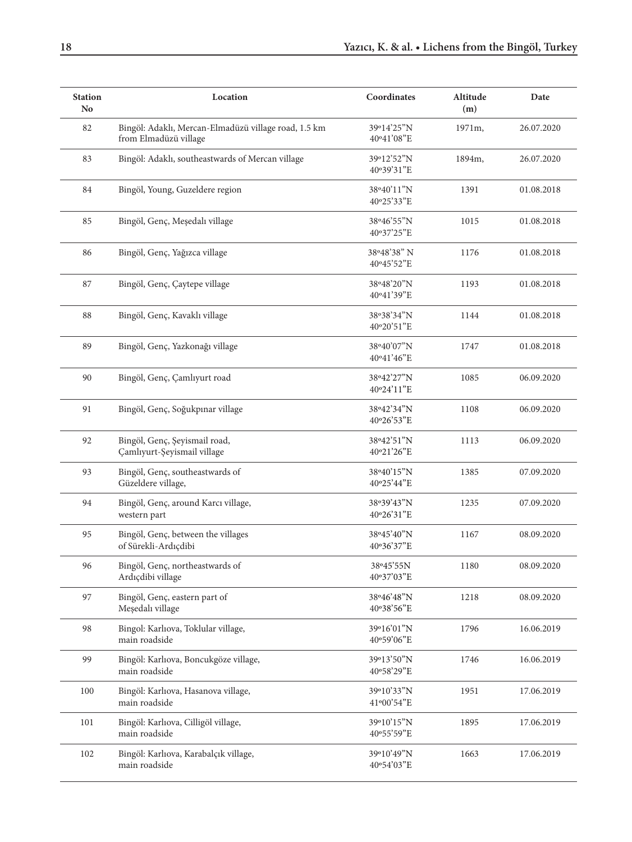| <b>Station</b><br>N <sub>0</sub> | Location                                                                      | Coordinates               | Altitude<br>(m) | Date       |
|----------------------------------|-------------------------------------------------------------------------------|---------------------------|-----------------|------------|
| 82                               | Bingöl: Adaklı, Mercan-Elmadüzü village road, 1.5 km<br>from Elmadüzü village | 39°14'25"N<br>40°41'08"E  | 1971m,          | 26.07.2020 |
| 83                               | Bingöl: Adaklı, southeastwards of Mercan village                              | 39°12'52"N<br>40°39'31"E  | 1894m,          | 26.07.2020 |
| 84                               | Bingöl, Young, Guzeldere region                                               | 38°40'11"N<br>40°25'33"E  | 1391            | 01.08.2018 |
| 85                               | Bingöl, Genç, Meşedalı village                                                | 38°46'55"N<br>40°37'25"E  | 1015            | 01.08.2018 |
| 86                               | Bingöl, Genç, Yağızca village                                                 | 38°48'38" N<br>40°45'52"E | 1176            | 01.08.2018 |
| 87                               | Bingöl, Genç, Çaytepe village                                                 | 38°48'20"N<br>40°41'39"E  | 1193            | 01.08.2018 |
| 88                               | Bingöl, Genç, Kavaklı village                                                 | 38°38'34"N<br>40°20'51"E  | 1144            | 01.08.2018 |
| 89                               | Bingöl, Genç, Yazkonağı village                                               | 38°40'07"N<br>40°41'46"E  | 1747            | 01.08.2018 |
| 90                               | Bingöl, Genç, Çamlıyurt road                                                  | 38°42'27"N<br>40°24'11"E  | 1085            | 06.09.2020 |
| 91                               | Bingöl, Genç, Soğukpınar village                                              | 38°42'34"N<br>40°26'53"E  | 1108            | 06.09.2020 |
| 92                               | Bingöl, Genç, Şeyismail road,<br>Çamlıyurt-Şeyismail village                  | 38°42'51"N<br>40°21'26"E  | 1113            | 06.09.2020 |
| 93                               | Bingöl, Genç, southeastwards of<br>Güzeldere village,                         | 38°40'15"N<br>40°25'44"E  | 1385            | 07.09.2020 |
| 94                               | Bingöl, Genç, around Karcı village,<br>western part                           | 38°39'43"N<br>40°26'31"E  | 1235            | 07.09.2020 |
| 95                               | Bingöl, Genç, between the villages<br>of Sürekli-Ardıçdibi                    | 38°45'40"N<br>40°36'37"E  | 1167            | 08.09.2020 |
| 96                               | Bingöl, Genç, northeastwards of<br>Ardıçdibi village                          | 38°45'55N<br>40°37'03"E   | 1180            | 08.09.2020 |
| 97                               | Bingöl, Genç, eastern part of<br>Meşedalı village                             | 38°46'48"N<br>40°38'56"E  | 1218            | 08.09.2020 |
| 98                               | Bingol: Karlıova, Toklular village,<br>main roadside                          | 39°16'01"N<br>40°59'06"E  | 1796            | 16.06.2019 |
| 99                               | Bingöl: Karlıova, Boncukgöze village,<br>main roadside                        | 39°13'50"N<br>40°58'29"E  | 1746            | 16.06.2019 |
| 100                              | Bingöl: Karlıova, Hasanova village,<br>main roadside                          | 39°10'33"N<br>41°00'54"E  | 1951            | 17.06.2019 |
| 101                              | Bingöl: Karlıova, Cilligöl village,<br>main roadside                          | 39°10'15"N<br>40°55'59"E  | 1895            | 17.06.2019 |
| 102                              | Bingöl: Karlıova, Karabalçık village,<br>main roadside                        | 39°10'49"N<br>40°54'03"E  | 1663            | 17.06.2019 |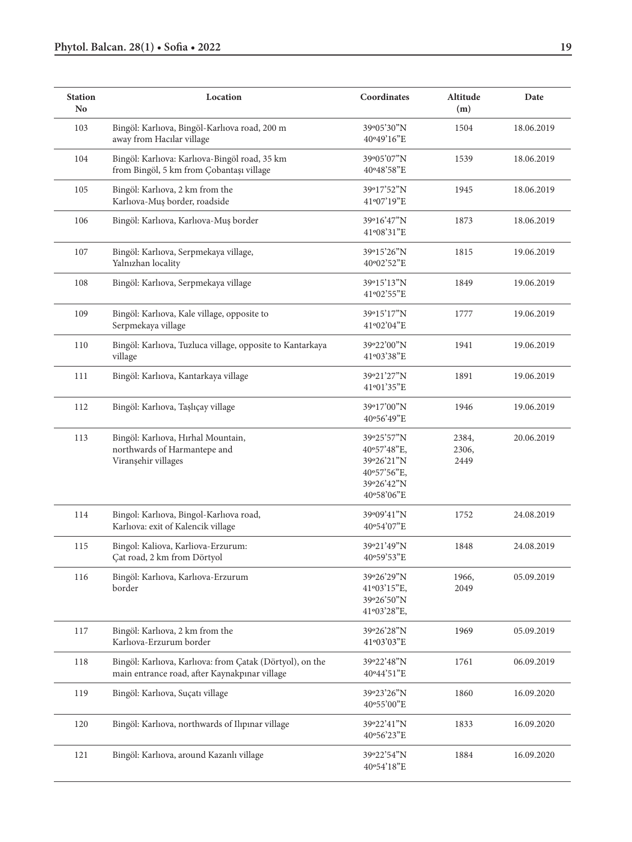| <b>Station</b><br>Location<br>N <sub>0</sub> |                                                                                                           | Coordinates                                                                        | Altitude<br>(m)        | Date       |
|----------------------------------------------|-----------------------------------------------------------------------------------------------------------|------------------------------------------------------------------------------------|------------------------|------------|
| 103                                          | Bingöl: Karlıova, Bingöl-Karlıova road, 200 m<br>away from Hacılar village                                | 39°05'30"N<br>40°49'16"E                                                           | 1504                   | 18.06.2019 |
| 104                                          | Bingöl: Karlıova: Karlıova-Bingöl road, 35 km<br>from Bingöl, 5 km from Çobantaşı village                 | 39°05'07"N<br>40°48'58"E                                                           | 1539                   | 18.06.2019 |
| 105                                          | Bingöl: Karlıova, 2 km from the<br>Karlıova-Muş border, roadside                                          | 39°17'52"N<br>41°07'19"E                                                           | 1945                   | 18.06.2019 |
| 106                                          | Bingöl: Karlıova, Karlıova-Muş border                                                                     | 39°16'47"N<br>41°08'31"E                                                           | 1873                   | 18.06.2019 |
| 107                                          | Bingöl: Karlıova, Serpmekaya village,<br>Yalnızhan locality                                               | 39°15'26"N<br>40°02'52"E                                                           | 1815                   | 19.06.2019 |
| 108                                          | Bingöl: Karlıova, Serpmekaya village                                                                      | 39°15'13"N<br>41°02'55"E                                                           | 1849                   | 19.06.2019 |
| 109                                          | Bingöl: Karlıova, Kale village, opposite to<br>Serpmekaya village                                         | 39°15'17"N<br>41°02'04"E                                                           | 1777                   | 19.06.2019 |
| 110                                          | Bingöl: Karlıova, Tuzluca village, opposite to Kantarkaya<br>village                                      | 39°22'00"N<br>41°03'38"E                                                           | 1941                   | 19.06.2019 |
| 111                                          | Bingöl: Karlıova, Kantarkaya village                                                                      | 39°21'27"N<br>41°01'35"E                                                           | 1891                   | 19.06.2019 |
| 112                                          | Bingöl: Karlıova, Taşlıçay village                                                                        | 39°17'00"N<br>40°56'49"E                                                           | 1946                   | 19.06.2019 |
| 113                                          | Bingöl: Karlıova, Hırhal Mountain,<br>northwards of Harmantepe and<br>Viranșehir villages                 | 39°25'57"N<br>40°57'48"E,<br>39°26'21"N<br>40°57'56"E,<br>39°26'42"N<br>40°58'06"E | 2384,<br>2306,<br>2449 | 20.06.2019 |
| 114                                          | Bingol: Karlıova, Bingol-Karlıova road,<br>Karlıova: exit of Kalencik village                             | 39°09'41"N<br>40°54'07"E                                                           | 1752                   | 24.08.2019 |
| 115                                          | Bingol: Kaliova, Karliova-Erzurum:<br>Çat road, 2 km from Dörtyol                                         | 39°21'49"N<br>40°59'53"E                                                           | 1848                   | 24.08.2019 |
| 116                                          | Bingöl: Karlıova, Karlıova-Erzurum<br>border                                                              | 39°26'29"N<br>41°03'15"E,<br>39°26'50"N<br>41°03'28"E,                             | 1966,<br>2049          | 05.09.2019 |
| 117                                          | Bingöl: Karlıova, 2 km from the<br>Karlıova-Erzurum border                                                | 39°26'28"N<br>41°03'03"E                                                           | 1969                   | 05.09.2019 |
| 118                                          | Bingöl: Karlıova, Karlıova: from Çatak (Dörtyol), on the<br>main entrance road, after Kaynakpınar village | 39°22'48"N<br>40°44'51"E                                                           | 1761                   | 06.09.2019 |
| 119                                          | Bingöl: Karlıova, Suçatı village                                                                          | 39°23'26"N<br>40°55'00"E                                                           | 1860                   | 16.09.2020 |
| 120                                          | Bingöl: Karlıova, northwards of Ilıpınar village                                                          | 39°22'41"N<br>40°56'23"E                                                           | 1833                   | 16.09.2020 |
| 121                                          | Bingöl: Karlıova, around Kazanlı village                                                                  | 39°22'54"N<br>40°54'18"E                                                           | 1884                   | 16.09.2020 |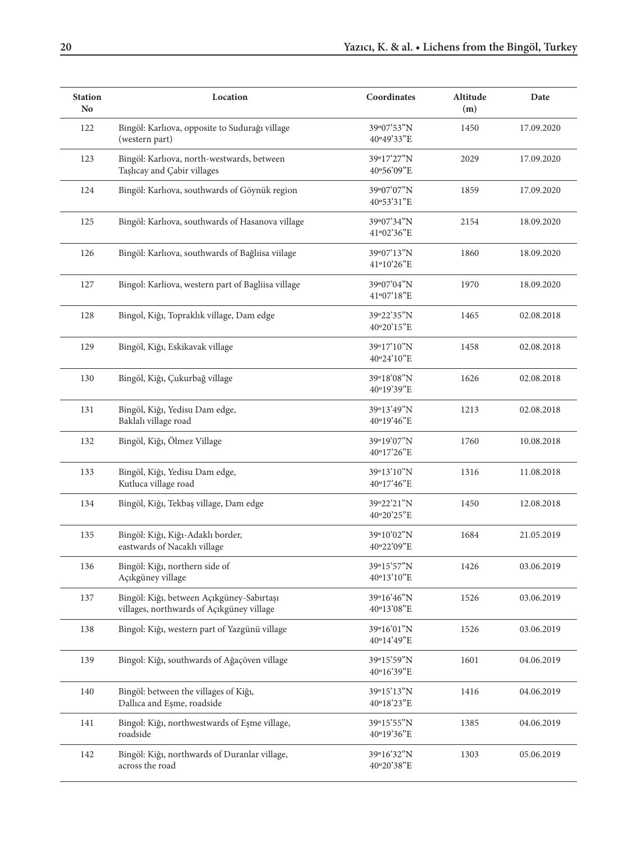| <b>Station</b><br>N <sub>0</sub> | Location                                                                               | Coordinates              | Altitude<br>(m) | Date       |
|----------------------------------|----------------------------------------------------------------------------------------|--------------------------|-----------------|------------|
| 122                              | Bingöl: Karlıova, opposite to Sudurağı village<br>(western part)                       | 39°07'53"N<br>40°49'33"E | 1450            | 17.09.2020 |
| 123                              | Bingöl: Karlıova, north-westwards, between<br>Taşlıcay and Çabir villages              | 39°17'27"N<br>40°56'09"E | 2029            | 17.09.2020 |
| 124                              | Bingöl: Karlıova, southwards of Göynük region                                          | 39°07'07"N<br>40°53'31"E | 1859            | 17.09.2020 |
| 125                              | Bingöl: Karlıova, southwards of Hasanova village                                       | 39°07'34"N<br>41°02'36"E | 2154            | 18.09.2020 |
| 126                              | Bingöl: Karlıova, southwards of Bağlıisa viilage                                       | 39°07'13"N<br>41°10'26"E | 1860            | 18.09.2020 |
| 127                              | Bingol: Karliova, western part of Bagliisa village                                     | 39°07'04"N<br>41°07'18"E | 1970            | 18.09.2020 |
| 128                              | Bingol, Kiğı, Topraklık village, Dam edge                                              | 39°22'35"N<br>40°20'15"E | 1465            | 02.08.2018 |
| 129                              | Bingöl, Kiğı, Eskikavak village                                                        | 39°17'10"N<br>40°24'10"E | 1458            | 02.08.2018 |
| 130                              | Bingöl, Kiğı, Çukurbağ village                                                         | 39°18'08"N<br>40°19'39"E | 1626            | 02.08.2018 |
| 131                              | Bingöl, Kiğı, Yedisu Dam edge,<br>Baklalı village road                                 | 39°13'49"N<br>40°19'46"E | 1213            | 02.08.2018 |
| 132                              | Bingöl, Kiğı, Ölmez Village                                                            | 39°19'07"N<br>40°17'26"E | 1760            | 10.08.2018 |
| 133                              | Bingöl, Kiğı, Yedisu Dam edge,<br>Kutluca village road                                 | 39°13'10"N<br>40°17'46"E | 1316            | 11.08.2018 |
| 134                              | Bingöl, Kiğı, Tekbaş village, Dam edge                                                 | 39°22'21"N<br>40°20'25"E | 1450            | 12.08.2018 |
| 135                              | Bingöl: Kiğı, Kiğı-Adaklı border,<br>eastwards of Nacaklı village                      | 39°10'02"N<br>40°22'09"E | 1684            | 21.05.2019 |
| 136                              | Bingöl: Kiğı, northern side of<br>Açıkgüney village                                    | 39°15'57"N<br>40°13'10"E | 1426            | 03.06.2019 |
| 137                              | Bingöl: Kiğı, between Açıkgüney-Sabırtaşı<br>villages, northwards of Açıkgüney village | 39°16'46"N<br>40°13'08"E | 1526            | 03.06.2019 |
| 138                              | Bingol: Kiğı, western part of Yazgünü village                                          | 39°16'01"N<br>40°14'49"E | 1526            | 03.06.2019 |
| 139                              | Bingol: Kiğı, southwards of Ağaçöven village                                           | 39°15'59"N<br>40°16'39"E | 1601            | 04.06.2019 |
| 140                              | Bingöl: between the villages of Kiğı,<br>Dallıca and Eşme, roadside                    | 39°15'13"N<br>40°18'23"E | 1416            | 04.06.2019 |
| 141                              | Bingol: Kiğı, northwestwards of Eşme village,<br>roadside                              | 39°15'55"N<br>40°19'36"E | 1385            | 04.06.2019 |
| 142                              | Bingöl: Kiğı, northwards of Duranlar village,<br>across the road                       | 39°16'32"N<br>40°20'38"E | 1303            | 05.06.2019 |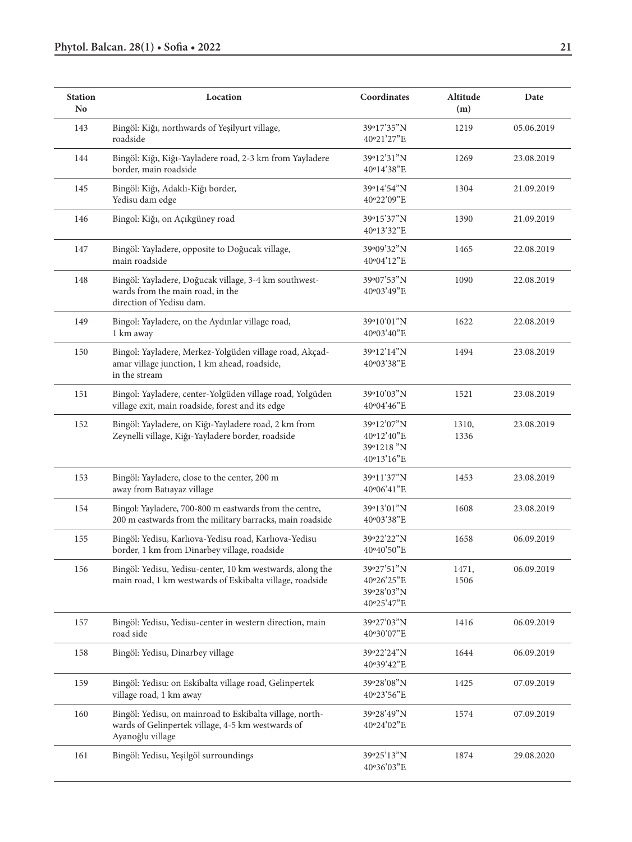| <b>Station</b><br>Location<br>N <sub>0</sub> |                                                                                                                                   | Coordinates                                          | Altitude<br>(m) | Date       |
|----------------------------------------------|-----------------------------------------------------------------------------------------------------------------------------------|------------------------------------------------------|-----------------|------------|
| 143                                          | Bingöl: Kiğı, northwards of Yeşilyurt village,<br>roadside                                                                        | 39°17'35"N<br>40°21'27"E                             | 1219            | 05.06.2019 |
| 144                                          | Bingöl: Kiğı, Kiğı-Yayladere road, 2-3 km from Yayladere<br>border, main roadside                                                 | 39°12'31"N<br>40°14'38"E                             | 1269            | 23.08.2019 |
| 145                                          | Bingöl: Kiğı, Adaklı-Kiğı border,<br>Yedisu dam edge                                                                              | 39°14'54"N<br>40°22'09"E                             | 1304            | 21.09.2019 |
| 146                                          | Bingol: Kiğı, on Açıkgüney road                                                                                                   | 39°15'37"N<br>40°13'32"E                             | 1390            | 21.09.2019 |
| 147                                          | Bingöl: Yayladere, opposite to Doğucak village,<br>main roadside                                                                  | 39°09'32"N<br>40°04'12"E                             | 1465            | 22.08.2019 |
| 148                                          | Bingöl: Yayladere, Doğucak village, 3-4 km southwest-<br>wards from the main road, in the<br>direction of Yedisu dam.             | 39°07'53"N<br>40°03'49"E                             | 1090            | 22.08.2019 |
| 149                                          | Bingol: Yayladere, on the Aydınlar village road,<br>1 km away                                                                     | 39°10'01"N<br>40°03'40"E                             | 1622            | 22.08.2019 |
| 150                                          | Bingol: Yayladere, Merkez-Yolgüden village road, Akçad-<br>amar village junction, 1 km ahead, roadside,<br>in the stream          | 39°12'14"N<br>40°03'38"E                             | 1494            | 23.08.2019 |
| 151                                          | Bingol: Yayladere, center-Yolgüden village road, Yolgüden<br>village exit, main roadside, forest and its edge                     | 39°10'03"N<br>40°04'46"E                             | 1521            | 23.08.2019 |
| 152                                          | Bingöl: Yayladere, on Kiğı-Yayladere road, 2 km from<br>Zeynelli village, Kiğı-Yayladere border, roadside                         | 39°12'07"N<br>40°12'40"E<br>39°1218 "N<br>40°13'16"E | 1310,<br>1336   | 23.08.2019 |
| 153                                          | Bingöl: Yayladere, close to the center, 200 m<br>away from Batıayaz village                                                       | 39°11'37"N<br>40°06'41"E                             | 1453            | 23.08.2019 |
| 154                                          | Bingol: Yayladere, 700-800 m eastwards from the centre,<br>200 m eastwards from the military barracks, main roadside              | 39°13'01"N<br>40°03'38"E                             | 1608            | 23.08.2019 |
| 155                                          | Bingöl: Yedisu, Karlıova-Yedisu road, Karlıova-Yedisu<br>border, 1 km from Dinarbey village, roadside                             | 39°22'22"N<br>40°40'50"E                             | 1658            | 06.09.2019 |
| 156                                          | Bingöl: Yedisu, Yedisu-center, 10 km westwards, along the<br>main road, 1 km westwards of Eskibalta village, roadside             | 39°27'51"N<br>40°26'25"E<br>39°28'03"N<br>40°25'47"E | 1471,<br>1506   | 06.09.2019 |
| 157                                          | Bingöl: Yedisu, Yedisu-center in western direction, main<br>road side                                                             | 39°27'03"N<br>40°30'07"E                             | 1416            | 06.09.2019 |
| 158                                          | Bingöl: Yedisu, Dinarbey village                                                                                                  | 39°22'24"N<br>40°39'42"E                             | 1644            | 06.09.2019 |
| 159                                          | Bingöl: Yedisu: on Eskibalta village road, Gelinpertek<br>village road, 1 km away                                                 | 39°28'08"N<br>40°23'56"E                             | 1425            | 07.09.2019 |
| 160                                          | Bingöl: Yedisu, on mainroad to Eskibalta village, north-<br>wards of Gelinpertek village, 4-5 km westwards of<br>Ayanoğlu village | 39°28'49"N<br>40°24'02"E                             | 1574            | 07.09.2019 |
| 161                                          | Bingöl: Yedisu, Yeşilgöl surroundings                                                                                             | 39°25'13"N<br>40°36'03"E                             | 1874            | 29.08.2020 |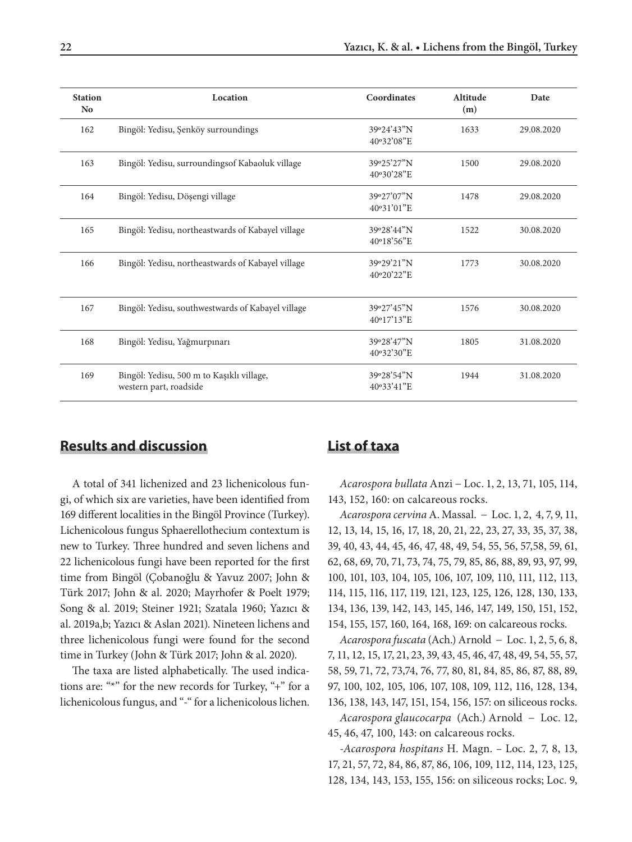| <b>Station</b><br>N <sub>0</sub> | Location                                                            | Coordinates              | Altitude<br>(m) | Date       |
|----------------------------------|---------------------------------------------------------------------|--------------------------|-----------------|------------|
| 162                              | Bingöl: Yedisu, Şenköy surroundings                                 | 39°24'43"N<br>40°32'08"E | 1633            | 29.08.2020 |
| 163                              | Bingöl: Yedisu, surroundingsof Kabaoluk village                     | 39°25'27"N<br>40°30'28"E | 1500            | 29.08.2020 |
| 164                              | Bingöl: Yedisu, Döşengi village                                     | 39°27'07"N<br>40°31'01"E | 1478            | 29.08.2020 |
| 165                              | Bingöl: Yedisu, northeastwards of Kabayel village                   | 39°28'44"N<br>40°18'56"E | 1522            | 30.08.2020 |
| 166                              | Bingöl: Yedisu, northeastwards of Kabayel village                   | 39°29'21"N<br>40°20'22"E | 1773            | 30.08.2020 |
| 167                              | Bingöl: Yedisu, southwestwards of Kabayel village                   | 39°27'45"N<br>40°17'13"E | 1576            | 30.08.2020 |
| 168                              | Bingöl: Yedisu, Yağmurpınarı                                        | 39°28'47"N<br>40°32'30"E | 1805            | 31.08.2020 |
| 169                              | Bingöl: Yedisu, 500 m to Kaşıklı village,<br>western part, roadside | 39°28'54"N<br>40°33'41"E | 1944            | 31.08.2020 |

### **Results and discussion**

A total of 341 lichenized and 23 lichenicolous fungi, of which six are varieties, have been identified from 169 different localities in the Bingöl Province (Turkey). Lichenicolous fungus Sphaerellothecium contextum is new to Turkey. Three hundred and seven lichens and 22 lichenicolous fungi have been reported for the first time from Bingöl (Çobanoğlu & Yavuz 2007; John & Türk 2017; John & al. 2020; Mayrhofer & Poelt 1979; Song & al. 2019; Steiner 1921; Szatala 1960; Yazıcı & al. 2019a,b; Yazıcı & Aslan 2021). Nineteen lichens and three lichenicolous fungi were found for the second time in Turkey (John & Türk 2017; John & al. 2020).

The taxa are listed alphabetically. The used indications are: "\*" for the new records for Turkey, "+" for a lichenicolous fungus, and "-" for a lichenicolous lichen.

### **List of taxa**

*Acarospora bullata* Anzi − Loc. 1, 2, 13, 71, 105, 114, 143, 152, 160: on calcareous rocks.

*Acarospora cervina* A. Massal. − Loc. 1, 2, 4, 7, 9, 11, 12, 13, 14, 15, 16, 17, 18, 20, 21, 22, 23, 27, 33, 35, 37, 38, 39, 40, 43, 44, 45, 46, 47, 48, 49, 54, 55, 56, 57,58, 59, 61, 62, 68, 69, 70, 71, 73, 74, 75, 79, 85, 86, 88, 89, 93, 97, 99, 100, 101, 103, 104, 105, 106, 107, 109, 110, 111, 112, 113, 114, 115, 116, 117, 119, 121, 123, 125, 126, 128, 130, 133, 134, 136, 139, 142, 143, 145, 146, 147, 149, 150, 151, 152, 154, 155, 157, 160, 164, 168, 169: on calcareous rocks.

*Acarospora fuscata* (Ach.) Arnold − Loc. 1, 2, 5, 6, 8, 7, 11, 12, 15, 17, 21, 23, 39, 43, 45, 46, 47, 48, 49, 54, 55, 57, 58, 59, 71, 72, 73,74, 76, 77, 80, 81, 84, 85, 86, 87, 88, 89, 97, 100, 102, 105, 106, 107, 108, 109, 112, 116, 128, 134, 136, 138, 143, 147, 151, 154, 156, 157: on siliceous rocks.

*Acarospora glaucocarpa* (Ach.) Arnold − Loc. 12, 45, 46, 47, 100, 143: on calcareous rocks.

*-Acarospora hospitans* H. Magn. *–* Loc. 2, 7, 8, 13, 17, 21, 57, 72, 84, 86, 87, 86, 106, 109, 112, 114, 123, 125, 128, 134, 143, 153, 155, 156: on siliceous rocks; Loc. 9,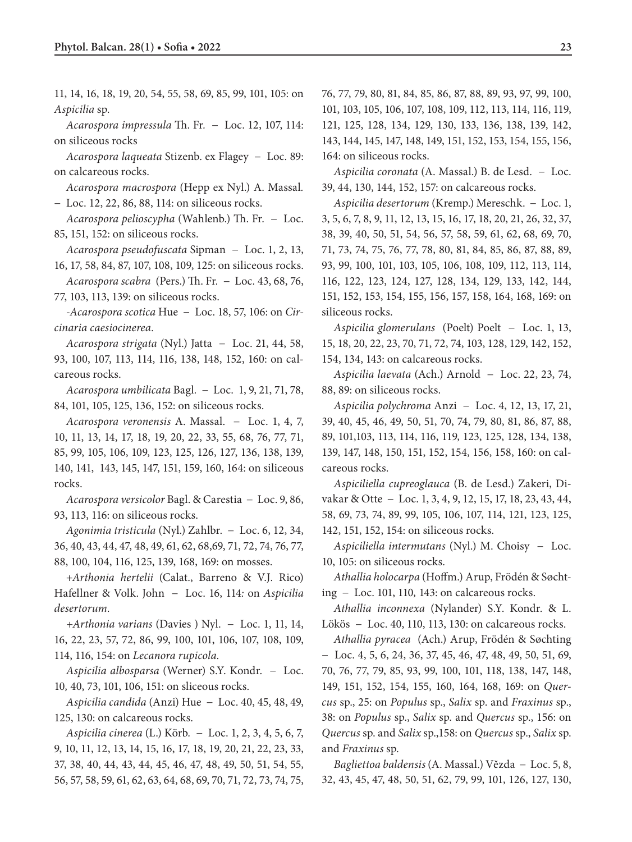11, 14, 16, 18, 19, 20, 54, 55, 58, 69, 85, 99, 101, 105: on *Aspicilia* sp.

*Acarospora impressula* Th. Fr*.* − Loc. 12, 107, 114: on siliceous rocks

*Acarospora laqueata* Stizenb. ex Flagey − Loc. 89: on calcareous rocks.

*Acarospora macrospora* (Hepp ex Nyl.) A. Massal*.* 

− Loc. 12, 22, 86, 88, 114: on siliceous rocks.

*Acarospora pelioscypha* (Wahlenb.) Th. Fr. − Loc. 85, 151, 152: on siliceous rocks.

*Acarospora pseudofuscata* Sipman − Loc. 1, 2, 13, 16, 17, 58, 84, 87, 107, 108, 109, 125: on siliceous rocks.

*Acarospora scabra* (Pers.) Th. Fr*.* − Loc. 43, 68, 76, 77, 103, 113, 139: on siliceous rocks.

*-Acarospora scotica* Hue − Loc. 18, 57, 106: on *Circinaria caesiocinerea.*

*Acarospora strigata* (Nyl.) Jatta − Loc. 21, 44, 58, 93, 100, 107, 113, 114, 116, 138, 148, 152, 160: on calcareous rocks.

*Acarospora umbilicata* Bagl*.* − Loc. 1, 9, 21, 71, 78, 84, 101, 105, 125, 136, 152: on siliceous rocks.

*Acarospora veronensis* A. Massal. − Loc. 1, 4, 7, 10, 11, 13, 14, 17, 18, 19, 20, 22, 33, 55, 68, 76, 77, 71, 85, 99, 105, 106, 109, 123, 125, 126, 127, 136, 138, 139, 140, 141, 143, 145, 147, 151, 159, 160, 164: on siliceous rocks.

*Acarospora versicolor* Bagl. & Carestia − Loc. 9, 86, 93, 113, 116: on siliceous rocks.

*Agonimia tristicula* (Nyl.) Zahlbr. − Loc. 6, 12, 34, 36, 40, 43, 44, 47, 48, 49, 61, 62, 68,69, 71, 72, 74, 76, 77, 88, 100, 104, 116, 125, 139, 168, 169: on mosses.

+*Arthonia hertelii* (Calat., Barreno & V.J. Rico) Hafellner & Volk. John − Loc. 16, 114*:* on *Aspicilia desertorum.*

*+Arthonia varians* (Davies ) Nyl. − Loc. 1, 11, 14, 16, 22, 23, 57, 72, 86, 99, 100, 101, 106, 107, 108, 109, 114, 116, 154: on *Lecanora rupicola.*

*Aspicilia albosparsa* (Werner) S.Y. Kondr. − Loc. 10*,* 40, 73, 101, 106, 151: on sliceous rocks.

*Aspicilia candida* (Anzi) Hue − Loc. 40, 45, 48, 49, 125, 130: on calcareous rocks.

*Aspicilia cinerea* (L.) Körb*.* − Loc. 1, 2, 3, 4, 5, 6, 7, 9, 10, 11, 12, 13, 14, 15, 16, 17, 18, 19, 20, 21, 22, 23, 33, 37, 38, 40, 44, 43, 44, 45, 46, 47, 48, 49, 50, 51, 54, 55, 56, 57, 58, 59, 61, 62, 63, 64, 68, 69, 70, 71, 72, 73, 74, 75, 76, 77, 79, 80, 81, 84, 85, 86, 87, 88, 89, 93, 97, 99, 100, 101, 103, 105, 106, 107, 108, 109, 112, 113, 114, 116, 119, 121, 125, 128, 134, 129, 130, 133, 136, 138, 139, 142, 143, 144, 145, 147, 148, 149, 151, 152, 153, 154, 155, 156, 164: on siliceous rocks.

*Aspicilia coronata* (A. Massal.) B. de Lesd.− Loc. 39, 44, 130, 144, 152, 157: on calcareous rocks.

*Aspicilia desertorum* (Kremp.) Mereschk. − Loc. 1, 3, 5, 6, 7, 8, 9, 11, 12, 13, 15, 16, 17, 18, 20, 21, 26, 32, 37, 38, 39, 40, 50, 51, 54, 56, 57, 58, 59, 61, 62, 68, 69, 70, 71, 73, 74, 75, 76, 77, 78, 80, 81, 84, 85, 86, 87, 88, 89, 93, 99, 100, 101, 103, 105, 106, 108, 109, 112, 113, 114, 116, 122, 123, 124, 127, 128, 134, 129, 133, 142, 144, 151, 152, 153, 154, 155, 156, 157, 158, 164, 168, 169: on siliceous rocks.

*Aspicilia glomerulans* (Poelt) Poelt− Loc. 1, 13, 15, 18, 20, 22, 23, 70, 71, 72, 74, 103, 128, 129, 142, 152, 154, 134, 143: on calcareous rocks.

*Aspicilia laevata* (Ach.) Arnold − Loc. 22, 23, 74, 88, 89: on siliceous rocks.

*Aspicilia polychroma* Anzi− Loc. 4, 12, 13, 17, 21, 39, 40, 45, 46, 49, 50, 51, 70, 74, 79, 80, 81, 86, 87, 88, 89, 101,103, 113, 114, 116, 119, 123, 125, 128, 134, 138, 139, 147, 148, 150, 151, 152, 154, 156, 158, 160: on calcareous rocks.

*Aspiciliella cupreoglauca* (B. de Lesd.) Zakeri, Divakar & Otte− Loc. 1, 3, 4, 9, 12, 15, 17, 18, 23, 43, 44, 58, 69, 73, 74, 89, 99, 105, 106, 107, 114, 121, 123, 125, 142, 151, 152, 154: on siliceous rocks.

*Aspiciliella intermutans* (Nyl.) M. Choisy− Loc. 10, 105: on siliceous rocks.

*Athallia holocarpa* (Hoffm.) Arup, Frödén & Søchting − Loc. 101, 110*,* 143: on calcareous rocks.

*Athallia inconnexa* (Nylander) S.Y. Kondr. & L. Lökös − Loc. 40, 110, 113, 130: on calcareous rocks.

*Athallia pyracea* (Ach.) Arup, Frödén & Søchting − Loc. 4, 5, 6, 24, 36, 37, 45, 46, 47, 48, 49, 50, 51, 69, 70, 76, 77, 79, 85, 93, 99, 100, 101, 118, 138, 147, 148, 149, 151, 152, 154, 155, 160, 164, 168, 169: on *Quercus* sp., 25: on *Populus* sp., *Salix* sp. and *Fraxinus* sp., 38: on *Populus* sp., *Salix* sp. and *Quercus* sp., 156: on *Quercus* sp. and *Salix* sp.,158: on *Quercus* sp., *Salix* sp. and *Fraxinus* sp.

*Bagliettoa baldensis* (A. Massal.) Vĕzda − Loc. 5, 8, 32, 43, 45, 47, 48, 50, 51, 62, 79, 99, 101, 126, 127, 130,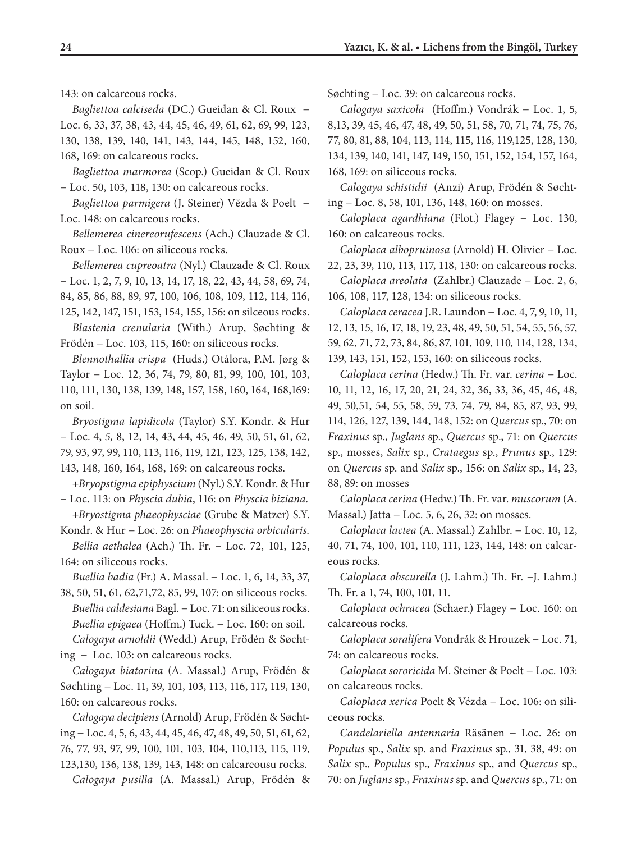143: on calcareous rocks.

*Bagliettoa calciseda* (DC.) Gueidan & Cl. Roux − Loc. 6, 33, 37, 38, 43, 44, 45, 46, 49, 61, 62, 69, 99, 123, 130, 138, 139, 140, 141, 143, 144, 145, 148, 152, 160, 168, 169: on calcareous rocks.

*Bagliettoa marmorea* (Scop.) Gueidan & Cl. Roux − Loc. 50, 103, 118, 130: on calcareous rocks.

*Bagliettoa parmigera* (J. Steiner) Vĕzda & Poelt − Loc. 148: on calcareous rocks.

*Bellemerea cinereorufescens* (Ach.) Clauzade & Cl. Roux − Loc. 106: on siliceous rocks.

*Bellemerea cupreoatra* (Nyl.) Clauzade & Cl. Roux − Loc. 1, 2, 7, 9, 10, 13, 14, 17, 18, 22, 43, 44, 58, 69, 74, 84, 85, 86, 88, 89, 97, 100, 106, 108, 109, 112, 114, 116, 125, 142, 147, 151, 153, 154, 155, 156: on silceous rocks.

*Blastenia crenularia* (With.) Arup, Søchting & Frödén − Loc. 103, 115, 160: on siliceous rocks.

*Blennothallia crispa* (Huds.) Otálora, P.M. Jørg & Taylor − Loc. 12, 36, 74, 79, 80, 81, 99, 100, 101, 103, 110, 111, 130, 138, 139, 148, 157, 158, 160, 164, 168,169: on soil.

*Bryostigma lapidicola* (Taylor) S.Y. Kondr. & Hur − Loc. 4, *5,* 8, 12, 14, 43, 44, 45, 46, 49, 50, 51, 61, 62, 79, 93, 97, 99, 110, 113, 116, 119, 121, 123, 125, 138, 142, 143, 148*,* 160, 164, 168, 169: on calcareous rocks.

+*Bryopstigma epiphyscium* (Nyl.) S.Y. Kondr. & Hur − Loc. 113: on *Physcia dubia*, 116: on *Physcia biziana.*

+*Bryostigma phaeophysciae* (Grube & Matzer) S.Y.

Kondr. & Hur − Loc. 26: on *Phaeophyscia orbicularis. Bellia aethalea* (Ach.) Th. Fr. − Loc. 72*,* 101, 125, 164: on siliceous rocks.

*Buellia badia* (Fr.) A. Massal. − Loc. 1, 6, 14, 33, 37, 38, 50, 51, 61, 62,71,72, 85, 99, 107: on siliceous rocks.

*Buellia caldesiana* Bagl*.* − Loc. 71: on siliceous rocks. *Buellia epigaea* (Hoffm.) Tuck. − Loc. 160: on soil. *Calogaya arnoldii* (Wedd.) Arup, Frödén & Søchting− Loc. 103: on calcareous rocks.

*Calogaya biatorina* (A. Massal.) Arup, Frödén & Søchting − Loc. 11, 39, 101, 103, 113, 116, 117, 119, 130, 160: on calcareous rocks.

*Calogaya decipiens* (Arnold) Arup, Frödén & Søchting − Loc. 4, 5, 6, 43, 44, 45, 46, 47, 48, 49, 50, 51, 61, 62, 76, 77, 93, 97, 99, 100, 101, 103, 104, 110,113, 115, 119, 123,130, 136, 138, 139, 143, 148: on calcareousu rocks.

*Calogaya pusilla* (A. Massal.) Arup, Frödén &

Søchting − Loc. 39: on calcareous rocks.

*Calogaya saxicola* (Hoffm.) Vondrák − Loc. 1, 5, 8,13, 39, 45, 46, 47, 48, 49, 50, 51, 58, 70, 71, 74, 75, 76, 77, 80, 81, 88, 104, 113, 114, 115, 116, 119,125, 128, 130, 134, 139, 140, 141, 147, 149, 150, 151, 152, 154, 157, 164, 168, 169: on siliceous rocks.

*Calogaya schistidii* (Anzi) Arup, Frödén & Søchting − Loc. 8, 58, 101, 136, 148, 160: on mosses.

*Caloplaca agardhiana* (Flot.) Flagey − Loc. 130, 160: on calcareous rocks.

*Caloplaca albopruinosa* (Arnold) H. Olivier − Loc. 22, 23, 39, 110, 113, 117, 118, 130: on calcareous rocks.

*Caloplaca areolata* (Zahlbr.) Clauzade − Loc. 2, 6, 106, 108, 117, 128, 134: on siliceous rocks.

*Caloplaca ceracea* J.R. Laundon − Loc. 4, 7, 9, 10, 11, 12, 13, 15, 16, 17, 18, 19, 23, 48, 49, 50, 51, 54, 55, 56, 57, 59, 62, 71, 72, 73, 84, 86, 87, 101, 109, 110*,* 114, 128, 134, 139, 143, 151, 152, 153, 160: on siliceous rocks.

*Caloplaca cerina* (Hedw.) Th. Fr. var. *cerina −* Loc. 10, 11, 12, 16, 17, 20, 21, 24, 32, 36, 33, 36, 45, 46, 48, 49, 50,51, 54, 55, 58, 59, 73, 74, 79, 84, 85, 87, 93, 99, 114, 126, 127, 139, 144, 148, 152: on *Quercus* sp., 70: on *Fraxinus* sp., *Juglans* sp., *Quercus* sp., 71: on *Quercus* sp., mosses, *Salix* sp., *Crataegus* sp., *Prunus* sp., 129: on *Quercus* sp. and *Salix* sp., 156: on *Salix* sp., 14, 23, 88, 89: on mosses

*Caloplaca cerina* (Hedw.) Th. Fr. var. *muscorum* (A. Massal.) Jatta − Loc. 5, 6, 26, 32: on mosses.

*Caloplaca lactea* (A. Massal.) Zahlbr. − Loc. 10, 12, 40, 71, 74, 100, 101, 110, 111, 123, 144, 148: on calcareous rocks.

*Caloplaca obscurella* (J. Lahm.) Th. Fr. −J. Lahm.) Th. Fr. a 1, 74, 100, 101, 11.

*Caloplaca ochracea* (Schaer.) Flagey − Loc. 160: on calcareous rocks.

*Caloplaca soralifera* Vondrák & Hrouzek − Loc. 71, 74: on calcareous rocks.

*Caloplaca sororicida* M. Steiner & Poelt − Loc. 103: on calcareous rocks.

*Caloplaca xerica* Poelt & Vézda − Loc. 106: on siliceous rocks.

*Candelariella antennaria* Räsänen − Loc. 26: on *Populus* sp., *Salix* sp. and *Fraxinus* sp., 31, 38, 49: on *Salix* sp., *Populus* sp., *Fraxinus* sp., and *Quercus* sp., 70: on *Juglans* sp., *Fraxinus* sp. and *Quercus* sp., 71: on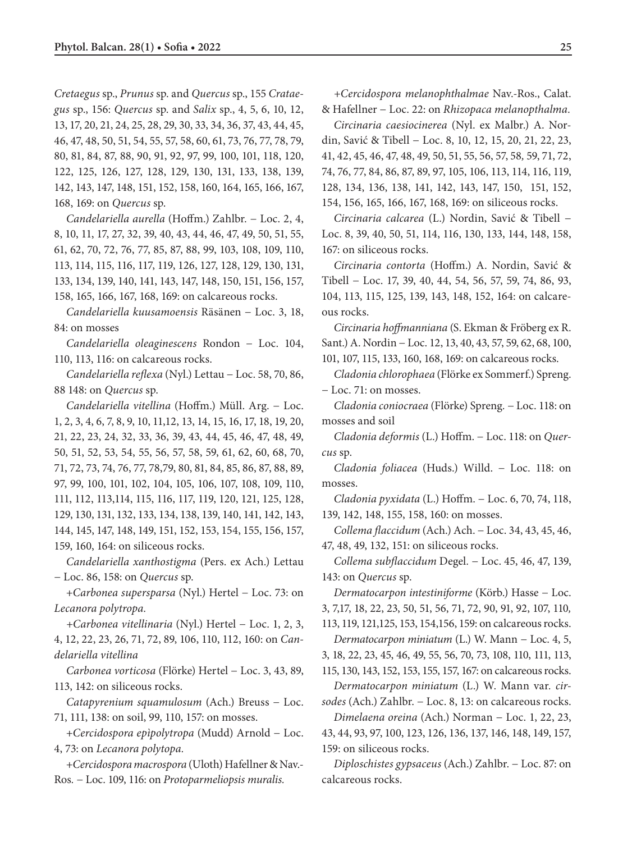*Cretaegus* sp., *Prunus* sp. and *Quercus* sp., 155 *Crataegus* sp., 156: *Quercus* sp. and *Salix* sp., 4, 5, 6, 10, 12, 13, 17, 20, 21, 24, 25, 28, 29, 30, 33, 34, 36, 37, 43, 44, 45, 46, 47, 48, 50, 51, 54, 55, 57, 58, 60, 61, 73, 76, 77, 78, 79, 80, 81, 84, 87, 88, 90, 91, 92, 97, 99, 100, 101, 118, 120, 122, 125, 126, 127, 128, 129, 130, 131, 133, 138, 139, 142, 143, 147, 148, 151, 152, 158, 160, 164, 165, 166, 167, 168, 169: on *Quercus* sp.

*Candelariella aurella* (Hoffm.) Zahlbr. − Loc. 2, 4, 8, 10, 11, 17, 27, 32, 39, 40, 43, 44, 46, 47, 49, 50, 51, 55, 61, 62, 70, 72, 76, 77, 85, 87, 88, 99, 103, 108, 109, 110, 113, 114, 115, 116, 117, 119, 126, 127, 128, 129, 130, 131, 133, 134, 139, 140, 141, 143, 147, 148, 150, 151, 156, 157, 158, 165, 166, 167, 168, 169: on calcareous rocks.

*Candelariella kuusamoensis* Räsänen − Loc. 3, 18, 84: on mosses

*Candelariella oleaginescens* Rondon − Loc. 104, 110, 113, 116: on calcareous rocks.

*Candelariella reflexa* (Nyl.) Lettau − Loc. 58, 70, 86, 88 148: on *Quercus* sp.

*Candelariella vitellina* (Hoffm.) Müll. Arg. − Loc. 1, 2, 3, 4, 6, 7, 8, 9, 10, 11,12, 13, 14, 15, 16, 17, 18, 19, 20, 21, 22, 23, 24, 32, 33, 36, 39, 43, 44, 45, 46, 47, 48, 49, 50, 51, 52, 53, 54, 55, 56, 57, 58, 59, 61, 62, 60, 68, 70, 71, 72, 73, 74, 76, 77, 78,79, 80, 81, 84, 85, 86, 87, 88, 89, 97, 99, 100, 101, 102, 104, 105, 106, 107, 108, 109, 110, 111, 112, 113,114, 115, 116, 117, 119, 120, 121, 125, 128, 129, 130, 131, 132, 133, 134, 138, 139, 140, 141, 142, 143, 144, 145, 147, 148, 149, 151, 152, 153, 154, 155, 156, 157, 159, 160, 164: on siliceous rocks.

*Candelariella xanthostigma* (Pers. ex Ach.) Lettau − Loc. 86, 158: on *Quercus* sp.

+*Carbonea supersparsa* (Nyl.) Hertel − Loc. 73: on *Lecanora polytropa.*

*+Carbonea vitellinaria* (Nyl.) Hertel − Loc. 1, 2, 3, 4, 12, 22, 23, 26, 71, 72, 89, 106, 110, 112, 160: on *Candelariella vitellina*

*Carbonea vorticosa* (Flörke) Hertel − Loc. 3, 43, 89, 113, 142: on siliceous rocks.

*Catapyrenium squamulosum* (Ach.) Breuss − Loc. 71, 111, 138: on soil, 99, 110, 157: on mosses.

+*Cercidospora epìpolytropa* (Mudd) Arnold − Loc. 4, 73: on *Lecanora polytopa.*

+*Cercidospora macrospora* (Uloth) Hafellner & Nav.- Ros*.* − Loc. 109, 116: on *Protoparmeliopsis muralis.*

*+Cercidospora melanophthalmae* Nav.-Ros., Calat. & Hafellner − Loc. 22: on *Rhizopaca melanopthalma.*

*Circinaria caesiocinerea* (Nyl. ex Malbr.) A. Nordin, Savić & Tibell − Loc. 8, 10, 12, 15, 20, 21, 22, 23, 41, 42, 45, 46, 47, 48, 49, 50, 51, 55, 56, 57, 58*,* 59, 71, 72, 74, 76, 77, 84, 86, 87, 89, 97, 105, 106, 113, 114, 116, 119, 128, 134, 136, 138, 141, 142, 143, 147, 150, 151, 152, 154, 156, 165, 166, 167, 168, 169: on siliceous rocks.

*Circinaria calcarea* (L.) Nordin, Savić & Tibell − Loc. 8, 39, 40, 50, 51, 114, 116, 130, 133, 144, 148, 158, 167: on siliceous rocks.

*Circinaria contorta* (Hoffm.) A. Nordin, Savić & Tibell − Loc. 17, 39, 40, 44, 54, 56, 57, 59, 74, 86, 93, 104, 113, 115, 125, 139, 143, 148, 152, 164: on calcareous rocks.

*Circinaria hoffmanniana* (S. Ekman & Fröberg ex R. Sant.) A. Nordin − Loc. 12, 13, 40, 43, 57, 59, 62, 68, 100,

101, 107, 115, 133, 160, 168, 169: on calcareous rocks.

*Cladonia chlorophaea* (Flörke ex Sommerf.) Spreng. − Loc. 71: on mosses.

*Cladonia coniocraea* (Flörke) Spreng*.* − Loc. 118: on mosses and soil

*Cladonia deformis* (L.) Hoffm. − Loc. 118: on *Quercus* sp.

*Cladonia foliacea* (Huds.) Willd. − Loc. 118: on mosses.

*Cladonia pyxidata* (L.) Hoffm. − Loc. 6, 70, 74, 118, 139, 142, 148, 155, 158, 160: on mosses.

*Collema flaccidum* (Ach.) Ach. − Loc. 34, 43, 45, 46, 47, 48, 49, 132, 151: on siliceous rocks.

*Collema subflaccidum* Degel*.* − Loc. 45, 46, 47, 139, 143: on *Quercus* sp.

*Dermatocarpon intestiniforme* (Körb.) Hasse − Loc.

3, 7,17, 18, 22, 23, 50, 51, 56, 71, 72, 90, 91, 92, 107, 110*,*

113, 119, 121,125, 153, 154,156, 159: on calcareous rocks. *Dermatocarpon miniatum* (L.) W. Mann − Loc. 4, 5,

3, 18, 22, 23, 45, 46, 49, 55, 56, 70, 73, 108, 110, 111, 113,

115, 130, 143, 152, 153, 155, 157, 167: on calcareous rocks. *Dermatocarpon miniatum* (L.) W. Mann var*. cir-*

*sodes* (Ach.) Zahlbr. − Loc. 8, 13: on calcareous rocks.

*Dimelaena oreina* (Ach.) Norman − Loc. 1, 22, 23, 43, 44, 93, 97, 100, 123, 126, 136, 137, 146, 148, 149, 157, 159: on siliceous rocks.

*Diploschistes gypsaceus* (Ach.) Zahlbr. − Loc. 87: on calcareous rocks.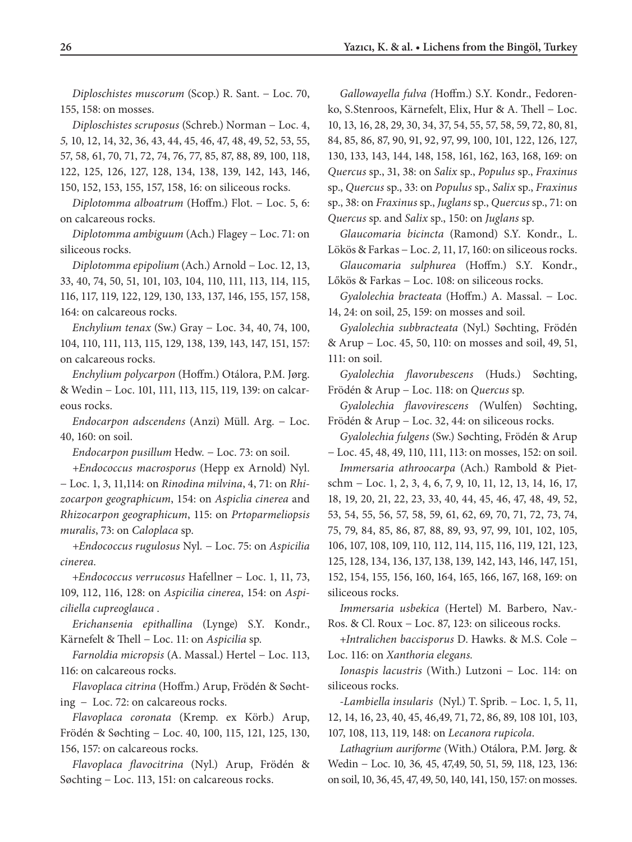*Diploschistes muscorum* (Scop.) R. Sant. − Loc. 70, 155, 158: on mosses.

*Diploschistes scruposus* (Schreb.) Norman − Loc. 4, *5,* 10, 12, 14, 32, 36, 43, 44, 45, 46, 47, 48, 49, 52, 53, 55, 57, 58*,* 61, 70, 71, 72, 74, 76, 77, 85, 87, 88, 89, 100, 118, 122, 125, 126, 127, 128, 134, 138, 139, 142, 143, 146, 150, 152, 153, 155, 157, 158, 16: on siliceous rocks.

*Diplotomma alboatrum* (Hoffm.) Flot. − Loc. 5, 6: on calcareous rocks.

*Diplotomma ambiguum* (Ach.) Flagey − Loc. 71: on siliceous rocks.

*Diplotomma epipolium* (Ach.) Arnold − Loc. 12, 13, 33, 40, 74, 50, 51, 101, 103, 104, 110, 111, 113, 114, 115, 116, 117, 119, 122, 129, 130, 133, 137, 146, 155, 157, 158, 164: on calcareous rocks.

*Enchylium tenax* (Sw.) Gray − Loc. 34, 40, 74, 100, 104, 110, 111, 113, 115, 129, 138, 139, 143, 147, 151, 157: on calcareous rocks.

*Enchylium polycarpon* (Hoffm.) Otálora, P.M. Jørg. & Wedin − Loc. 101, 111, 113, 115, 119, 139: on calcareous rocks.

*Endocarpon adscendens* (Anzi) Müll. Arg. − Loc. 40, 160: on soil.

*Endocarpon pusillum* Hedw*.* − Loc. 73: on soil.

*+Endococcus macrosporus* (Hepp ex Arnold) Nyl. − Loc. 1, 3, 11,114: on *Rinodina milvina*, 4, 71: on *Rhizocarpon geographicum*, 154: on *Aspiclia cinerea* and *Rhizocarpon geographicum*, 115: on *Prtoparmeliopsis muralis*, 73: on *Caloplaca* sp.

*+Endococcus rugulosus* Nyl*.* − Loc. 75: on *Aspicilia cinerea.* 

+*Endococcus verrucosus* Hafellner − Loc. 1, 11, 73, 109, 112, 116, 128: on *Aspicilia cinerea*, 154: on *Aspiciliella cupreoglauca* .

*Erichansenia epithallina* (Lynge) S.Y. Kondr., Kärnefelt & Thell − Loc. 11: on *Aspicilia* sp*.* 

*Farnoldia micropsis* (A. Massal.) Hertel − Loc. 113, 116: on calcareous rocks.

*Flavoplaca citrina* (Hoffm.) Arup, Frödén & Søchting − Loc. 72: on calcareous rocks.

*Flavoplaca coronata* (Kremp. ex Körb.) Arup, Frödén & Søchting − Loc. 40, 100, 115, 121, 125, 130, 156, 157: on calcareous rocks.

*Flavoplaca flavocitrina* (Nyl.) Arup, Frödén & Søchting − Loc. 113, 151: on calcareous rocks.

*Gallowayella fulva (*Hoffm.) S.Y. Kondr., Fedorenko, S.Stenroos, Kärnefelt, Elix, Hur & A. Thell − Loc. 10, 13, 16, 28, 29, 30, 34, 37, 54, 55, 57, 58, 59, 72, 80, 81, 84, 85, 86, 87, 90, 91, 92, 97, 99, 100, 101, 122, 126, 127, 130, 133, 143, 144, 148, 158, 161, 162, 163, 168, 169: on *Quercus* sp., 31, 38: on *Salix* sp., *Populus* sp., *Fraxinus* sp., *Quercus* sp., 33: on *Populus* sp., *Salix* sp., *Fraxinus* sp., 38: on *Fraxinus* sp., *Juglans* sp., *Quercus* sp., 71: on *Quercus* sp. and *Salix* sp., 150: on *Juglans* sp.

*Glaucomaria bicincta* (Ramond) S.Y. Kondr., L. Lökös & Farkas − Loc. *2,* 11, 17, 160: on siliceous rocks.

*Glaucomaria sulphurea* (Hoffm.) S.Y. Kondr., Lőkös & Farkas − Loc. 108: on siliceous rocks.

*Gyalolechia bracteata* (Hoffm.) A. Massal. − Loc. 14, 24: on soil, 25, 159: on mosses and soil.

*Gyalolechia subbracteata* (Nyl.) Søchting, Frödén & Arup − Loc. 45, 50, 110: on mosses and soil, 49, 51, 111: on soil.

*Gyalolechia flavorubescens* (Huds.) Søchting, Frödén & Arup − Loc. 118: on *Quercus* sp.

*Gyalolechia flavovirescens (*Wulfen) Søchting, Frödén & Arup − Loc. 32, 44: on siliceous rocks.

*Gyalolechia fulgens* (Sw.) Søchting, Frödén & Arup − Loc. 45, 48, 49, 110, 111, 113: on mosses, 152: on soil.

*Immersaria athroocarpa* (Ach.) Rambold & Pietschm − Loc. 1, 2, 3, 4, 6, 7, 9, 10, 11, 12, 13, 14, 16, 17, 18, 19, 20, 21, 22, 23, 33, 40, 44, 45, 46, 47, 48, 49, 52, 53, 54, 55, 56, 57, 58, 59, 61, 62, 69, 70, 71, 72, 73, 74, 75, 79, 84, 85, 86, 87, 88, 89, 93, 97, 99, 101, 102, 105, 106, 107, 108, 109, 110*,* 112, 114, 115, 116, 119, 121, 123, 125, 128, 134, 136, 137, 138, 139, 142, 143, 146, 147, 151, 152, 154, 155*,* 156, 160, 164, 165, 166, 167, 168, 169: on siliceous rocks.

*Immersaria usbekica* (Hertel) M. Barbero, Nav.- Ros. & Cl. Roux − Loc. 87, 123: on siliceous rocks.

+*Intralichen baccisporus* D. Hawks. & M.S. Cole − Loc. 116: on *Xanthoria elegans.*

*Ionaspis lacustris* (With.) Lutzoni − Loc. 114: on siliceous rocks.

*-Lambiella insularis* (Nyl.) T. Sprib. − Loc. 1, 5, 11, 12, 14, 16, 23, 40, 45, 46,49, 71, 72, 86, 89, 108 101, 103, 107, 108, 113, 119, 148: on *Lecanora rupicola*.

*Lathagrium auriforme* (With.) Otálora, P.M. Jørg. & Wedin − Loc. 10*,* 36*,* 45, 47,49, 50, 51, 59, 118, 123, 136: on soil, 10, 36, 45, 47, 49, 50, 140, 141, 150, 157: on mosses.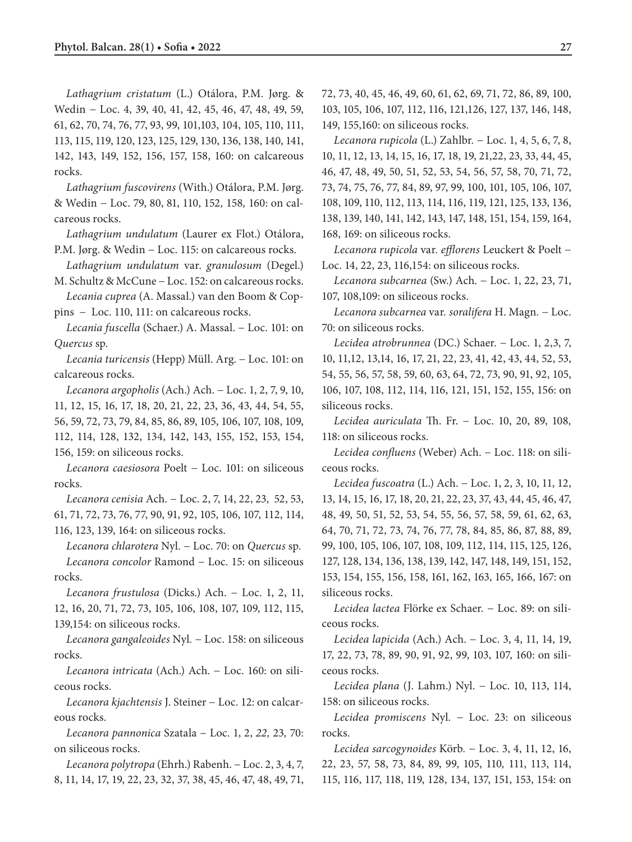*Lathagrium cristatum* (L.) Otálora, P.M. Jørg. & Wedin − Loc. 4, 39, 40, 41, 42, 45, 46, 47, 48, 49, 59, 61, 62, 70, 74, 76, 77, 93, 99, 101,103, 104, 105, 110, 111, 113, 115, 119, 120, 123, 125, 129, 130, 136, 138, 140, 141, 142, 143, 149, 152, 156, 157, 158, 160: on calcareous rocks.

*Lathagrium fuscovirens* (With.) Otálora, P.M. Jørg. & Wedin − Loc. 79, 80, 81, 110, 152*,* 158*,* 160: on calcareous rocks.

*Lathagrium undulatum* (Laurer ex Flot.) Otálora, P.M. Jørg. & Wedin − Loc. 115: on calcareous rocks.

*Lathagrium undulatum* var. *granulosum* (Degel.) M. Schultz & McCune − Loc. 152: on calcareous rocks.

*Lecania cuprea* (A. Massal.) van den Boom & Coppins − Loc. 110, 111: on calcareous rocks.

*Lecania fuscella* (Schaer.) A. Massal. − Loc. 101: on *Quercus* sp.

*Lecania turicensis* (Hepp) Müll. Arg. − Loc. 101: on calcareous rocks.

*Lecanora argopholis* (Ach.) Ach. − Loc. 1, 2, 7, 9, 10, 11, 12, 15, 16, 17, 18, 20, 21, 22, 23, 36, 43, 44, 54, 55, 56, 59, 72, 73, 79, 84, 85, 86, 89, 105, 106, 107, 108, 109, 112, 114, 128, 132, 134, 142, 143, 155, 152, 153, 154, 156, 159: on siliceous rocks.

*Lecanora caesiosora* Poelt − Loc. 101: on siliceous rocks.

*Lecanora cenisia* Ach*.* − Loc. 2, 7, 14, 22, 23, 52, 53, 61, 71, 72, 73, 76, 77, 90, 91, 92, 105, 106, 107, 112, 114, 116, 123, 139, 164: on siliceous rocks.

*Lecanora chlarotera* Nyl*.* − Loc. 70: on *Quercus* sp. *Lecanora concolor* Ramond − Loc. 15: on siliceous rocks.

*Lecanora frustulosa* (Dicks.) Ach. − Loc. 1, 2, 11, 12, 16, 20, 71, 72, 73, 105, 106, 108, 107, 109, 112, 115, 139,154: on siliceous rocks.

*Lecanora gangaleoides* Nyl*.* − Loc. 158: on siliceous rocks.

*Lecanora intricata* (Ach.) Ach. − Loc. 160: on siliceous rocks.

*Lecanora kjachtensis* J. Steiner − Loc. 12: on calcareous rocks.

*Lecanora pannonica* Szatala − Loc. 1, 2, *22,* 23*,* 70: on siliceous rocks.

*Lecanora polytropa* (Ehrh.) Rabenh. − Loc. 2, 3, 4, 7, 8, 11, 14, 17, 19, 22, 23, 32, 37, 38, 45, 46, 47, 48, 49, 71,

72, 73, 40, 45, 46, 49, 60, 61, 62, 69, 71, 72, 86, 89, 100, 103, 105, 106, 107, 112, 116, 121,126, 127, 137, 146, 148, 149, 155,160: on siliceous rocks.

*Lecanora rupicola* (L.) Zahlbr*.* − Loc. 1, 4, 5, 6, 7, 8, 10, 11, 12, 13, 14, 15, 16, 17, 18, 19, 21,22, 23, 33, 44, 45, 46, 47, 48, 49, 50, 51, 52, 53, 54, 56, 57, 58, 70, 71, 72, 73, 74, 75, 76, 77, 84, 89, 97, 99, 100, 101, 105, 106, 107, 108, 109, 110, 112, 113, 114, 116, 119, 121, 125, 133, 136, 138, 139, 140, 141, 142, 143, 147, 148, 151, 154, 159, 164, 168, 169: on siliceous rocks.

*Lecanora rupicola* var*. efflorens* Leuckert & Poelt − Loc. 14, 22, 23, 116,154: on siliceous rocks.

*Lecanora subcarnea* (Sw.) Ach. − Loc. 1, 22, 23, 71, 107, 108,109: on siliceous rocks.

*Lecanora subcarnea* var*. soralifera* H. Magn*.* − Loc. 70: on siliceous rocks.

*Lecidea atrobrunnea* (DC.) Schaer. − Loc. 1, 2,3, 7, 10, 11,12, 13,14, 16, 17, 21, 22, 23, 41, 42, 43, 44, 52, 53, 54, 55, 56, 57, 58, 59, 60, 63, 64, 72, 73, 90, 91, 92, 105, 106, 107, 108, 112, 114, 116, 121, 151, 152, 155, 156: on siliceous rocks.

*Lecidea auriculata* Th. Fr. − Loc. 10, 20, 89, 108*,* 118: on siliceous rocks.

*Lecidea confluens* (Weber) Ach. − Loc. 118: on siliceous rocks.

*Lecidea fuscoatra* (L.) Ach. − Loc. 1, 2, 3, 10, 11, 12, 13, 14, 15, 16, 17, 18, 20, 21, 22, 23, 37, 43, 44, 45, 46, 47, 48, 49, 50, 51, 52, 53, 54, 55, 56, 57, 58, 59, 61, 62, 63, 64, 70, 71, 72, 73, 74, 76, 77, 78, 84, 85, 86, 87, 88, 89, 99, 100, 105, 106, 107, 108, 109, 112, 114, 115, 125, 126, 127, 128, 134, 136, 138, 139, 142, 147, 148, 149, 151, 152, 153, 154, 155, 156, 158, 161, 162, 163, 165, 166, 167: on siliceous rocks.

*Lecidea lactea* Flörke ex Schaer*.* − Loc. 89: on siliceous rocks.

*Lecidea lapicida* (Ach.) Ach. − Loc. 3, 4, 11, 14, 19, 17, 22, 73, 78, 89, 90, 91, 92, 99, 103, 107, 160: on siliceous rocks.

*Lecidea plana* (J. Lahm.) Nyl. − Loc. 10, 113, 114, 158: on siliceous rocks.

*Lecidea promiscens* Nyl*.* − Loc. 23: on siliceous rocks.

*Lecidea sarcogynoides* Körb*.* − Loc. 3, 4, 11, 12, 16, 22, 23, 57, 58, 73, 84, 89, 99, 105, 110*,* 111, 113, 114, 115, 116, 117, 118, 119, 128, 134, 137, 151, 153, 154: on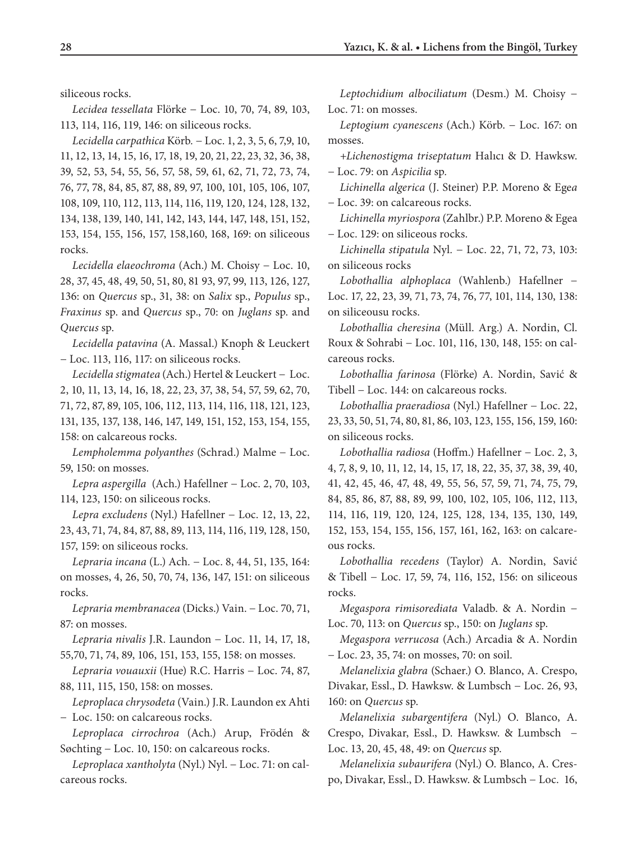siliceous rocks.

*Lecidea tessellata* Flörke − Loc. 10, 70, 74, 89, 103, 113, 114, 116, 119, 146: on siliceous rocks.

*Lecidella carpathica* Körb*.* − Loc. 1, 2, 3, 5, 6, 7,9, 10, 11, 12, 13, 14, 15, 16, 17, 18, 19, 20, 21, 22, 23, 32, 36, 38, 39, 52, 53, 54, 55, 56, 57, 58, 59, 61, 62, 71, 72, 73, 74, 76, 77, 78, 84, 85, 87, 88, 89, 97, 100, 101, 105, 106, 107, 108, 109, 110, 112, 113, 114, 116, 119, 120, 124, 128, 132, 134, 138, 139, 140, 141, 142, 143, 144, 147, 148, 151, 152, 153, 154, 155, 156, 157, 158,160, 168, 169: on siliceous rocks.

*Lecidella elaeochroma* (Ach.) M. Choisy − Loc. 10, 28, 37, 45, 48, 49, 50, 51, 80, 81 93, 97, 99, 113, 126, 127, 136: on *Quercus* sp., 31, 38: on *Salix* sp., *Populus* sp., *Fraxinus* sp. and *Quercus* sp., 70: on *Juglans* sp. and *Quercus* sp.

*Lecidella patavina* (A. Massal.) Knoph & Leuckert − Loc. 113, 116, 117: on siliceous rocks.

*Lecidella stigmatea* (Ach.) Hertel & Leuckert − Loc. 2, 10, 11, 13, 14, 16, 18, 22, 23, 37, 38, 54, 57, 59, 62, 70, 71, 72, 87, 89, 105, 106, 112, 113, 114, 116, 118, 121, 123, 131, 135, 137, 138, 146, 147, 149, 151, 152, 153, 154, 155, 158: on calcareous rocks.

*Lempholemma polyanthes* (Schrad.) Malme − Loc. 59, 150: on mosses.

*Lepra aspergilla* (Ach.) Hafellner − Loc. 2, 70, 103, 114, 123, 150: on siliceous rocks.

*Lepra excludens* (Nyl.) Hafellner − Loc. 12, 13, 22, 23, 43, 71, 74, 84, 87, 88, 89, 113, 114, 116, 119, 128, 150, 157, 159: on siliceous rocks.

*Lepraria incana* (L.) Ach*.* − Loc. 8, 44, 51, 135, 164: on mosses, 4, 26, 50, 70, 74, 136, 147, 151: on siliceous rocks.

*Lepraria membranacea* (Dicks.) Vain. − Loc. 70, 71, 87: on mosses.

*Lepraria nivalis* J.R. Laundon − Loc. 11, 14, 17, 18, 55,70, 71, 74, 89, 106, 151, 153, 155, 158: on mosses.

*Lepraria vouauxii* (Hue) R.C. Harris − Loc. 74, 87, 88, 111, 115, 150, 158: on mosses.

*Leproplaca chrysodeta* (Vain.) J.R. Laundon ex Ahti − Loc. 150: on calcareous rocks.

*Leproplaca cirrochroa* (Ach.) Arup, Frödén & Søchting − Loc. 10, 150: on calcareous rocks.

*Leproplaca xantholyta* (Nyl.) Nyl. − Loc. 71: on calcareous rocks.

*Leptochidium albociliatum* (Desm.) M. Choisy − Loc. 71: on mosses.

*Leptogium cyanescens* (Ach.) Körb. − Loc. 167: on mosses.

*+Lichenostigma triseptatum* Halıcı & D. Hawksw. − Loc. 79: on *Aspicilia* sp*.*

*Lichinella algerica* (J. Steiner) P.P. Moreno & Ege*a*  − Loc. 39: on calcareous rocks.

*Lichinella myriospora* (Zahlbr.) P.P. Moreno & Egea − Loc. 129: on siliceous rocks.

*Lichinella stipatula* Nyl*.* − Loc. 22, 71, 72, 73, 103: on siliceous rocks

*Lobothallia alphoplaca* (Wahlenb.) Hafellner − Loc. 17, 22, 23, 39, 71, 73, 74, 76, 77, 101, 114, 130, 138: on siliceousu rocks.

*Lobothallia cheresina* (Müll. Arg.) A. Nordin, Cl. Roux & Sohrabi − Loc. 101, 116, 130, 148, 155: on calcareous rocks.

*Lobothallia farinosa* (Flörke) A. Nordin, Savić & Tibell − Loc. 144: on calcareous rocks.

*Lobothallia praeradiosa* (Nyl.) Hafellner − Loc. 22, 23, 33, 50, 51, 74, 80, 81, 86, 103, 123, 155, 156, 159, 160: on siliceous rocks.

*Lobothallia radiosa* (Hoffm.) Hafellner − Loc. 2, 3, 4, 7, 8, 9, 10, 11, 12, 14, 15, 17, 18, 22, 35, 37, 38, 39, 40, 41, 42, 45, 46, 47, 48, 49, 55, 56, 57, 59, 71, 74, 75, 79, 84, 85, 86, 87, 88, 89, 99, 100, 102, 105, 106, 112, 113, 114, 116, 119, 120, 124, 125, 128, 134, 135, 130, 149, 152, 153, 154, 155, 156, 157, 161, 162, 163: on calcareous rocks.

*Lobothallia recedens* (Taylor) A. Nordin, Savić & Tibell − Loc. 17, 59, 74, 116, 152, 156: on siliceous rocks.

*Megaspora rimisorediata* Valadb. & A. Nordin − Loc. 70, 113: on *Quercus* sp., 150: on *Juglans* sp.

*Megaspora verrucosa* (Ach.) Arcadia & A. Nordin − Loc. 23, 35, 74: on mosses, 70: on soil.

*Melanelixia glabra* (Schaer.) O. Blanco, A. Crespo, Divakar, Essl., D. Hawksw. & Lumbsch − Loc. 26, 93, 160: on *Quercus* sp.

*Melanelixia subargentifera* (Nyl.) O. Blanco, A. Crespo, Divakar, Essl., D. Hawksw. & Lumbsch− Loc. 13, 20, 45, 48, 49: on *Quercus* sp.

*Melanelixia subaurifera* (Nyl.) O. Blanco, A. Crespo, Divakar, Essl., D. Hawksw. & Lumbsch − Loc. 16,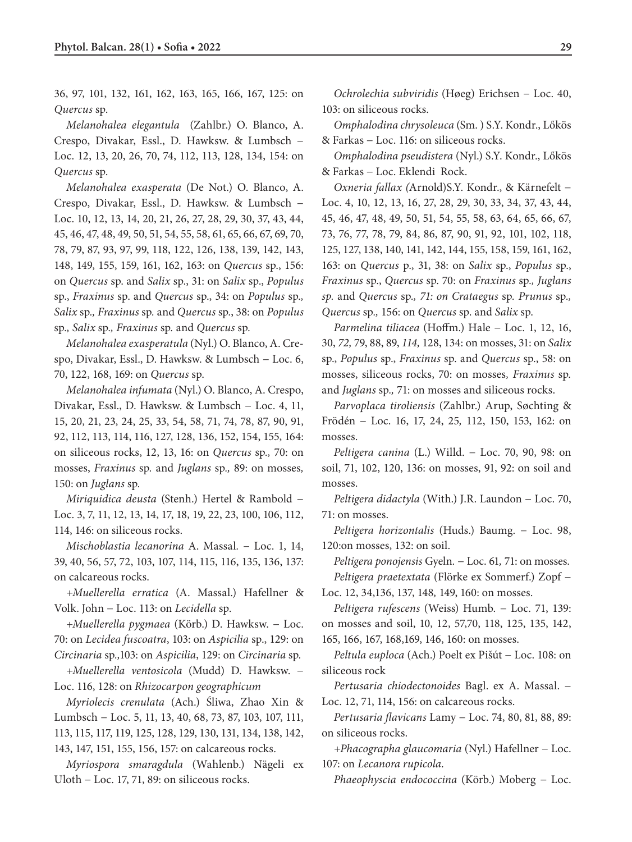36, 97, 101, 132, 161, 162, 163, 165, 166, 167, 125: on *Quercus* sp.

*Melanohalea elegantula* (Zahlbr.) O. Blanco, A. Crespo, Divakar, Essl., D. Hawksw. & Lumbsch − Loc. 12, 13, 20, 26, 70, 74, 112, 113, 128, 134, 154: on *Quercus* sp.

*Melanohalea exasperata* (De Not.) O. Blanco, A. Crespo, Divakar, Essl., D. Hawksw. & Lumbsch − Loc. 10, 12, 13, 14, 20, 21, 26, 27, 28, 29, 30, 37, 43, 44, 45, 46, 47, 48, 49, 50, 51, 54, 55, 58, 61, 65, 66, 67, 69, 70, 78, 79, 87, 93, 97, 99, 118, 122, 126, 138, 139, 142, 143, 148, 149, 155, 159, 161, 162, 163: on *Quercus* sp., 156: on *Quercus* sp. and *Salix* sp., 31: on *Salix* sp., *Populus* sp., *Fraxinus* sp. and *Quercus* sp., 34: on *Populus* sp*., Salix* sp*., Fraxinus* sp*.* and *Quercus* sp*.*, 38: on *Populus*  sp*., Salix* sp*., Fraxinus* sp*.* and *Quercus* sp*.*

*Melanohalea exasperatula* (Nyl.) O. Blanco, A. Crespo, Divakar, Essl., D. Hawksw. & Lumbsch − Loc. 6, 70, 122, 168, 169: on *Quercus* sp.

*Melanohalea infumata* (Nyl.) O. Blanco, A. Crespo, Divakar, Essl., D. Hawksw. & Lumbsch − Loc. 4, 11, 15, 20, 21, 23, 24, 25, 33, 54, 58, 71, 74, 78, 87, 90, 91, 92, 112, 113, 114, 116, 127, 128, 136, 152, 154, 155, 164: on siliceous rocks, 12, 13, 16: on *Quercus* sp*.,* 70: on mosses, *Fraxinus* sp*.* and *Juglans* sp*.,* 89: on mosses*,*  150: on *Juglans* sp*.*

*Miriquidica deusta* (Stenh.) Hertel & Rambold − Loc. 3, 7, 11, 12, 13, 14, 17, 18, 19, 22, 23, 100, 106, 112, 114, 146: on siliceous rocks.

*Mischoblastia lecanorina* A. Massal*.* − Loc. 1, 14, 39, 40, 56, 57, 72, 103, 107, 114, 115, 116, 135, 136, 137: on calcareous rocks.

*+Muellerella erratica* (A. Massal.) Hafellner & Volk. John − Loc. 113: on *Lecidella* sp.

*+Muellerella pygmaea* (Körb.) D. Hawksw. − Loc. 70: on *Lecidea fuscoatra*, 103: on *Aspicilia* sp., 129: on *Circinaria* sp*.,*103: on *Aspicilia*, 129: on *Circinaria* sp*.*

*+Muellerella ventosicola* (Mudd) D. Hawksw. − Loc. 116, 128: on *Rhizocarpon geographicum*

*Myriolecis crenulata* (Ach.) Śliwa, Zhao Xin & Lumbsch − Loc. 5, 11, 13, 40, 68, 73, 87, 103, 107, 111, 113, 115, 117, 119, 125, 128, 129, 130, 131, 134, 138, 142, 143, 147, 151, 155, 156, 157: on calcareous rocks.

*Myriospora smaragdula* (Wahlenb.) Nägeli ex Uloth − Loc. 17, 71, 89: on siliceous rocks.

*Ochrolechia subviridis* (Høeg) Erichsen − Loc. 40, 103: on siliceous rocks.

*Omphalodina chrysoleuca* (Sm. ) S.Y. Kondr., Lőkös & Farkas − Loc. 116: on siliceous rocks.

*Omphalodina pseudistera* (Nyl.) S.Y. Kondr., Lőkös & Farkas − Loc. Eklendi Rock.

*Oxneria fallax (*Arnold)S.Y. Kondr., & Kärnefelt − Loc. 4, 10, 12, 13, 16, 27, 28, 29, 30, 33, 34, 37, 43, 44, 45, 46, 47, 48, 49, 50, 51, 54, 55, 58, 63, 64, 65, 66, 67, 73, 76, 77, 78, 79, 84, 86, 87, 90, 91, 92, 101, 102, 118, 125, 127, 138, 140, 141, 142, 144, 155, 158, 159, 161, 162, 163: on *Quercus* p., 31, 38: on *Salix* sp., *Populus* sp., *Fraxinus* sp., *Quercus* sp. 70: on *Fraxinus* sp*., Juglans sp.* and *Quercus* sp*., 71: on Crataegus* sp*. Prunus* sp*., Quercus* sp*.,* 156: on *Quercus* sp. and *Salix* sp.

*Parmelina tiliacea* (Hoffm.) Hale − Loc. 1, 12, 16, 30, *72,* 79, 88, 89, *114,* 128, 134: on mosses, 31: on *Salix* sp., *Populus* sp., *Fraxinus* sp. and *Quercus* sp., 58: on mosses, siliceous rocks, 70: on mosses*, Fraxinus* sp*.*  and *Juglans* sp*.,* 71: on mosses and siliceous rocks.

*Parvoplaca tiroliensis* (Zahlbr.) Arup, Søchting & Frödén − Loc. 16, 17, 24, 25*,* 112, 150, 153, 162: on mosses.

*Peltigera canina* (L.) Willd. − Loc. 70, 90, 98: on soil, 71, 102, 120, 136: on mosses, 91, 92: on soil and mosses.

*Peltigera didactyla* (With.) J.R. Laundon − Loc. 70, 71: on mosses.

*Peltigera horizontalis* (Huds.) Baumg. − Loc. 98, 120:on mosses, 132: on soil.

*Peltigera ponojensis* Gyeln*.* − Loc. 61*,* 71: on mosses. *Peltigera praetextata* (Flörke ex Sommerf.) Zopf −

Loc. 12, 34,136, 137, 148*,* 149, 160: on mosses.

*Peltigera rufescens* (Weiss) Humb. − Loc. 71, 139: on mosses and soil, 10, 12, 57,70, 118, 125, 135, 142, 165, 166, 167, 168,169, 146, 160: on mosses.

*Peltula euploca* (Ach.) Poelt ex Pišút − Loc. 108: on siliceous rock

*Pertusaria chiodectonoides* Bagl. ex A. Massal. − Loc. 12, 71, 114, 156: on calcareous rocks.

*Pertusaria flavicans* Lamy − Loc. 74, 80, 81, 88, 89: on siliceous rocks.

*+Phacographa glaucomaria* (Nyl.) Hafellner − Loc. 107: on *Lecanora rupicola.*

*Phaeophyscia endococcina* (Körb.) Moberg − Loc.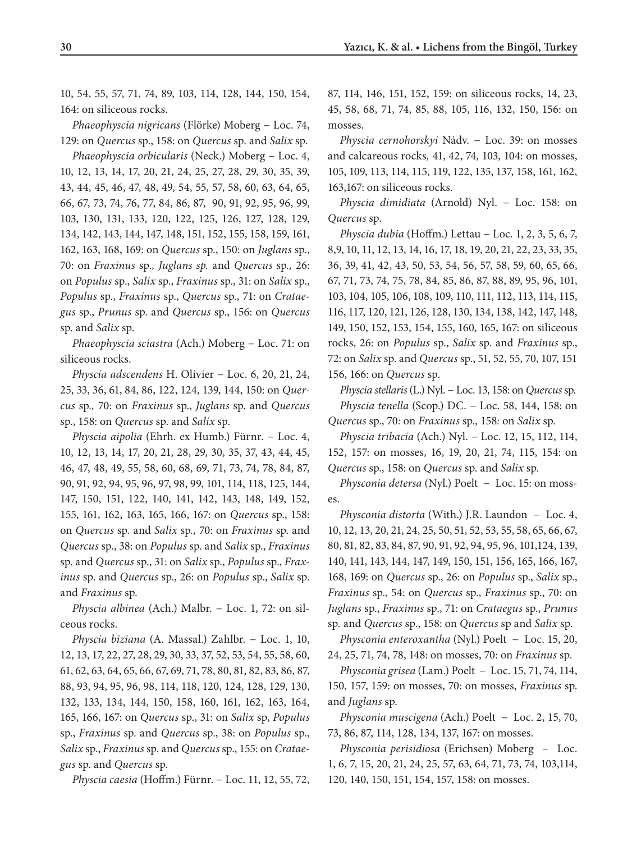10, 54, 55, 57, 71, 74, 89, 103, 114, 128, 144, 150, 154, 164: on siliceous rocks.

*Phaeophyscia nigricans* (Flörke) Moberg − Loc. 74, 129: on *Quercus* sp., 158: on *Quercus* sp. and *Salix* sp.

*Phaeophyscia orbicularis* (Neck.) Moberg − Loc. 4, 10, 12, 13, 14, 17, 20, 21, 24, 25, 27, 28, 29, 30, 35, 39, 43, 44, 45, 46, 47, 48, 49, 54, 55, 57, 58, 60, 63, 64, 65, 66, 67, 73, 74, 76, 77, 84, 86, 87, 90, 91, 92, 95, 96, 99, 103, 130, 131, 133, 120, 122, 125, 126, 127, 128, 129, 134, 142, 143, 144, 147, 148, 151, 152, 155, 158, 159, 161, 162, 163, 168, 169: on *Quercus* sp., 150: on *Juglans* sp., 70: on *Fraxinus* sp*., Juglans sp.* and *Quercus* sp*.,* 26: on *Populus* sp., *Salix* sp., *Fraxinus* sp., 31: on *Salix* sp., *Populus* sp., *Fraxinus* sp., *Quercus* sp., 71: on *Crataegus* sp., *Prunus* sp. and *Quercus* sp., 156: on *Quercus* sp. and *Salix* sp.

*Phaeophyscia sciastra* (Ach.) Moberg − Loc. 71: on siliceous rocks.

*Physcia adscendens* H. Olivier − Loc. 6, 20, 21, 24, 25, 33, 36, 61, 84, 86, 122, 124, 139, 144, 150: on *Quercus* sp*.,* 70: on *Fraxinus* sp., *Juglans* sp. and *Quercus* sp., 158: on *Quercus* sp. and *Salix* sp.

*Physcia aipolia* (Ehrh. ex Humb.) Fürnr. − Loc. 4, 10, 12, 13, 14, 17, 20, 21, 28, 29, 30, 35, 37, 43, 44, 45, 46, 47, 48, 49, 55, 58, 60, 68, 69, 71, 73, 74, 78, 84, 87, 90, 91, 92, 94, 95, 96, 97, 98, 99, 101, 114, 118, 125, 144, 147, 150, 151, 122, 140, 141, 142, 143, 148, 149, 152, 155, 161, 162, 163, 165, 166, 167: on *Quercus* sp., 158: on *Quercus* sp*.* and *Salix* sp*.,* 70: on *Fraxinus* sp. and *Quercus* sp., 38: on *Populus* sp. and *Salix* sp., *Fraxinus*  sp. and *Quercus* sp., 31: on *Salix* sp., *Populus* sp., *Fraxinus* sp. and *Quercus* sp., 26: on *Populus* sp., *Salix* sp. and *Fraxinus* sp.

*Physcia albinea* (Ach.) Malbr. − Loc. 1, 72: on silceous rocks.

*Physcia biziana* (A. Massal.) Zahlbr. − Loc. 1, 10, 12, 13, 17, 22, 27, 28, 29, 30, 33, 37, 52, 53, 54, 55, 58, 60, 61, 62, 63, 64, 65, 66, 67, 69, 71, 78, 80, 81, 82, 83, 86, 87, 88, 93, 94, 95, 96, 98, 114, 118, 120, 124, 128, 129, 130, 132, 133, 134, 144, 150, 158, 160, 161, 162, 163, 164, 165, 166, 167: on *Quercus* sp., 31: on *Salix* sp, *Populus* sp., *Fraxinus* sp. and *Quercus* sp., 38: on *Populus* sp., *Salix* sp., *Fraxinus* sp. and *Quercus* sp., 155: on *Crataegus* sp. and *Quercus* sp.

*Physcia caesia* (Hoffm.) Fürnr. − Loc. 11, 12, 55, 72,

87, 114, 146, 151, 152, 159: on siliceous rocks, 14, 23, 45, 58, 68, 71, 74, 85, 88, 105, 116, 132, 150, 156: on mosses.

*Physcia cernohorskyi* Nádv*.* − Loc. 39: on mosses and calcareous rocks*,* 41, 42, 74*,* 103*,* 104: on mosses, 105, 109, 113, 114, 115, 119, 122, 135, 137, 158, 161, 162, 163,167: on siliceous rocks.

*Physcia dimidiata* (Arnold) Nyl. − Loc. 158: on *Quercus* sp.

*Physcia dubia* (Hoffm.) Lettau − Loc. 1, 2, 3, 5, 6, 7, 8,9, 10, 11, 12, 13, 14, 16, 17, 18, 19, 20, 21, 22, 23, 33, 35, 36, 39, 41, 42, 43, 50, 53, 54, 56, 57, 58, 59, 60, 65, 66, 67, 71, 73, 74, 75, 78, 84, 85, 86, 87, 88, 89, 95, 96, 101, 103, 104, 105, 106, 108, 109, 110, 111, 112, 113, 114, 115, 116, 117, 120, 121, 126, 128, 130, 134, 138, 142, 147, 148, 149, 150, 152, 153, 154, 155, 160, 165, 167: on siliceous rocks, 26: on *Populus* sp., *Salix* sp. and *Fraxinus* sp., 72: on *Salix* sp. and *Quercus* sp., 51, 52, 55, 70, 107, 151 156, 166: on *Quercus* sp.

*Physcia stellaris* (L.) Nyl. − Loc. 13, 158: on *Quercus* sp. *Physcia tenella* (Scop.) DC. − Loc. 58, 144, 158: on *Quercus* sp., 70*:* on *Fraxinus* sp*.,* 158*:* on *Salix* sp*.*

*Physcia tribacia* (Ach.) Nyl. − Loc. 12, 15, 112, 114, 152, 157: on mosses, 16, 19, 20, 21, 74, 115, 154: on *Quercus* sp., 158: on *Quercus* sp. and *Salix* sp.

*Physconia detersa* (Nyl.) Poelt− Loc. 15: on mosses.

*Physconia distorta* (With.) J.R. Laundon− Loc. 4, 10, 12, 13, 20, 21, 24, 25, 50, 51, 52, 53, 55, 58, 65, 66, 67, 80, 81, 82, 83, 84, 87, 90, 91, 92, 94, 95, 96, 101,124, 139, 140, 141, 143, 144, 147, 149, 150, 151, 156, 165, 166, 167, 168, 169: on *Quercus* sp., 26: on *Populus* sp., *Salix* sp., *Fraxinus* sp., 54: on *Quercus* sp., *Fraxinus* sp., 70: on *Juglans* sp., *Fraxinus* sp., 71: on *Crataegus* sp., *Prunus*  sp*.* and *Quercus* sp., 158: on *Quercus* sp and *Salix* sp.

*Physconia enteroxantha* (Nyl.) Poelt − Loc. 15, 20, 24, 25, 71, 74, 78, 148: on mosses, 70: on *Fraxinus* sp.

*Physconia grisea* (Lam.) Poelt − Loc. 15, 71, 74, 114, 150, 157, 159: on mosses, 70: on mosses, *Fraxinus* sp. and *Juglans* sp.

*Physconia muscigena* (Ach.) Poelt − Loc. 2, 15, 70, 73, 86, 87, 114, 128, 134, 137, 167: on mosses.

*Physconia perisidiosa* (Erichsen) Moberg− Loc. 1, 6, 7, 15, 20, 21, 24, 25, 57, 63, 64, 71, 73, 74, 103,114, 120, 140, 150, 151, 154, 157, 158: on mosses.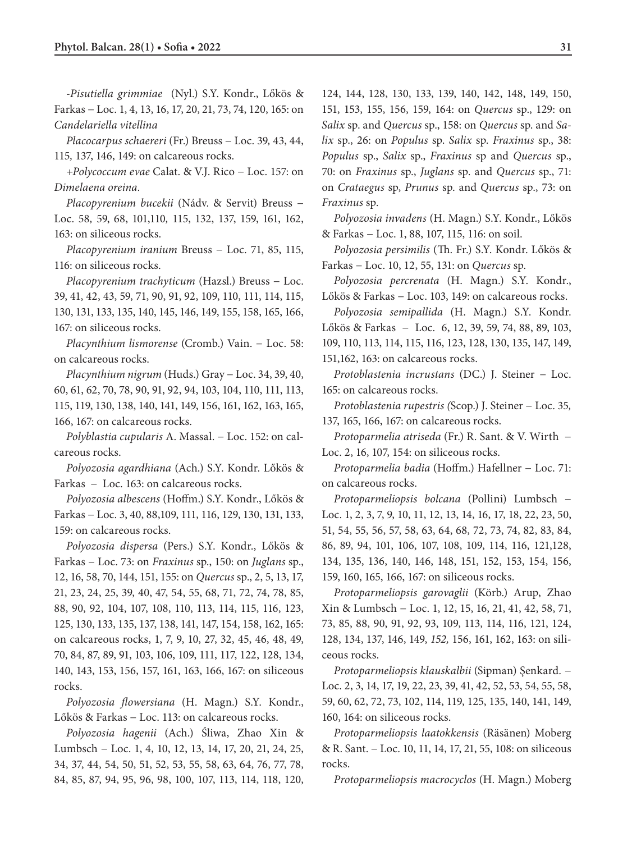-*Pisutiella grimmiae* (Nyl.) S.Y. Kondr., Lőkös & Farkas − Loc. 1, 4, 13, 16, 17, 20, 21, 73, 74, 120, 165: on *Candelariella vitellina*

*Placocarpus schaereri* (Fr.) Breuss − Loc. 39*,* 43, 44, 115*,* 137, 146, 149: on calcareous rocks.

*+Polycoccum evae* Calat. & V.J. Rico − Loc. 157: on *Dimelaena oreina.*

*Placopyrenium bucekii* (Nádv. & Servit) Breuss − Loc. 58*,* 59, 68, 101,110*,* 115, 132, 137, 159, 161, 162, 163: on siliceous rocks.

*Placopyrenium iranium* Breuss − Loc. 71, 85, 115, 116: on siliceous rocks.

*Placopyrenium trachyticum* (Hazsl.) Breuss − Loc. 39, 41, 42, 43, 59, 71, 90, 91, 92, 109, 110, 111, 114, 115, 130, 131, 133, 135, 140, 145, 146, 149, 155, 158, 165, 166, 167: on siliceous rocks.

*Placynthium lismorense* (Cromb.) Vain. − Loc. 58: on calcareous rocks.

*Placynthium nigrum* (Huds.) Gray − Loc. 34, 39, 40, 60, 61, 62, 70, 78, 90, 91, 92, 94, 103, 104, 110, 111, 113, 115, 119, 130, 138, 140, 141, 149, 156, 161, 162, 163, 165, 166, 167: on calcareous rocks.

*Polyblastia cupularis* A. Massal. − Loc. 152: on calcareous rocks.

*Polyozosia agardhiana* (Ach.) S.Y. Kondr. Lőkös & Farkas− Loc. 163: on calcareous rocks.

*Polyozosia albescens* (Hoffm.) S.Y. Kondr., Lőkös & Farkas − Loc. 3, 40, 88,109, 111, 116, 129, 130, 131, 133, 159: on calcareous rocks.

*Polyozosia dispersa* (Pers.) S.Y. Kondr., Lőkös & Farkas − Loc. 73: on *Fraxinus* sp., 150: on *Juglans* sp., 12, 16, 58, 70, 144, 151, 155: on *Quercus* sp., 2, 5, 13, 17, 21, 23, 24, 25, 39, 40, 47, 54, 55, 68, 71, 72, 74, 78, 85, 88, 90, 92, 104, 107, 108, 110, 113, 114, 115, 116, 123, 125, 130, 133, 135, 137, 138, 141, 147, 154, 158, 162, 165: on calcareous rocks, 1, 7, 9, 10, 27, 32, 45, 46, 48, 49, 70, 84, 87, 89, 91, 103, 106, 109, 111, 117, 122, 128, 134, 140, 143, 153, 156, 157, 161, 163, 166, 167: on siliceous rocks.

*Polyozosia flowersiana* (H. Magn.) S.Y. Kondr., Lőkös & Farkas − Loc. 113: on calcareous rocks.

*Polyozosia hagenii* (Ach.) Śliwa, Zhao Xin & Lumbsch − Loc. 1, 4, 10, 12, 13, 14, 17, 20, 21, 24, 25, 34, 37, 44, 54, 50, 51, 52, 53, 55, 58, 63, 64, 76, 77, 78, 84, 85, 87, 94, 95, 96, 98, 100, 107, 113, 114, 118, 120,

124, 144, 128, 130, 133, 139, 140, 142, 148, 149, 150, 151, 153, 155, 156, 159, 164: on *Quercus* sp., 129: on *Salix* sp. and *Quercus* sp., 158: on *Quercus* sp. and *Salix* sp., 26: on *Populus* sp. *Salix* sp. *Fraxinus* sp., 38: *Populus* sp., *Salix* sp., *Fraxinus* sp and *Quercus* sp., 70: on *Fraxinus* sp., *Juglans* sp. and *Quercus* sp., 71: on *Crataegus* sp, *Prunus* sp. and *Quercus* sp., 73: on *Fraxinus* sp.

*Polyozosia invadens* (H. Magn.) S.Y. Kondr., Lőkös & Farkas − Loc. 1, 88, 107, 115, 116: on soil.

*Polyozosia persimilis* (Th. Fr.) S.Y. Kondr. Lőkös & Farkas − Loc. 10, 12, 55, 131: on *Quercus* sp.

*Polyozosia percrenata* (H. Magn.) S.Y. Kondr., Lőkös & Farkas − Loc. 103, 149: on calcareous rocks.

*Polyozosia semipallida* (H. Magn.) S.Y. Kondr. Lőkös & Farkas− Loc. 6, 12, 39, 59, 74, 88, 89, 103, 109, 110, 113, 114, 115, 116, 123, 128, 130, 135, 147, 149,

151,162, 163: on calcareous rocks.

*Protoblastenia incrustans* (DC.) J. Steiner − Loc. 165: on calcareous rocks.

*Protoblastenia rupestris (*Scop.) J. Steiner − Loc. 35*,* 137, 165, 166, 167: on calcareous rocks.

*Protoparmelia atriseda* (Fr.) R. Sant. & V. Wirth− Loc. 2, 16, 107, 154: on siliceous rocks.

*Protoparmelia badia* (Hoffm.) Hafellner − Loc. 71: on calcareous rocks.

*Protoparmeliopsis bolcana* (Pollini) Lumbsch − Loc. 1, 2, 3, 7, 9, 10, 11, 12, 13, 14, 16, 17, 18, 22, 23, 50, 51, 54, 55, 56, 57, 58, 63, 64, 68, 72, 73, 74, 82, 83, 84, 86, 89, 94, 101, 106, 107, 108, 109, 114, 116, 121,128, 134, 135, 136, 140, 146, 148, 151, 152, 153, 154, 156, 159, 160, 165, 166, 167: on siliceous rocks.

*Protoparmeliopsis garovaglii* (Körb.) Arup, Zhao Xin & Lumbsch − Loc. 1, 12, 15, 16, 21, 41, 42, 58, 71, 73, 85, 88, 90, 91, 92, 93, 109, 113, 114, 116, 121, 124, 128, 134, 137, 146, 149, *152,* 156, 161, 162, 163: on siliceous rocks.

*Protoparmeliopsis klauskalbii* (Sipman) Şenkard*.* − Loc. 2, 3, 14, 17, 19, 22, 23, 39, 41, 42, 52, 53, 54, 55, 58, 59, 60, 62, 72, 73, 102, 114, 119, 125, 135, 140, 141, 149, 160, 164: on siliceous rocks.

*Protoparmeliopsis laatokkensis* (Räsänen) Moberg & R. Sant. − Loc. 10, 11, 14, 17, 21, 55, 108: on siliceous rocks.

*Protoparmeliopsis macrocyclos* (H. Magn.) Moberg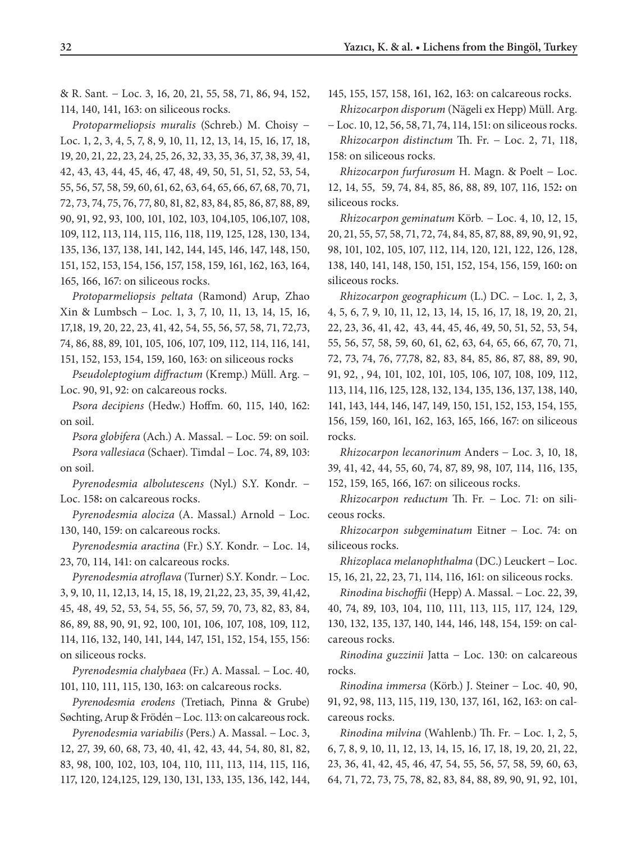& R. Sant*.* − Loc. 3, 16, 20, 21, 55, 58, 71, 86, 94, 152, 114, 140, 141, 163: on siliceous rocks.

*Protoparmeliopsis muralis* (Schreb.) M. Choisy − Loc. 1, 2, 3, 4, 5, 7, 8, 9, 10, 11, 12, 13, 14, 15, 16, 17, 18, 19, 20, 21, 22, 23, 24, 25, 26, 32, 33, 35, 36, 37, 38, 39, 41, 42, 43, 43, 44, 45, 46, 47, 48, 49, 50, 51, 51, 52, 53, 54, 55, 56, 57, 58, 59, 60, 61, 62, 63, 64, 65, 66, 67, 68, 70, 71, 72, 73, 74, 75, 76, 77, 80, 81, 82, 83, 84, 85, 86, 87, 88, 89, 90, 91, 92, 93, 100, 101, 102, 103, 104,105, 106,107, 108, 109, 112, 113, 114, 115, 116, 118, 119, 125, 128, 130, 134, 135, 136, 137, 138, 141, 142, 144, 145, 146, 147, 148, 150, 151, 152, 153, 154, 156, 157, 158, 159, 161, 162, 163, 164, 165, 166, 167: on siliceous rocks.

*Protoparmeliopsis peltata* (Ramond) Arup, Zhao Xin & Lumbsch − Loc. 1, 3, 7, 10, 11, 13, 14, 15, 16, 17,18, 19, 20, 22, 23, 41, 42, 54, 55, 56, 57, 58, 71, 72,73, 74, 86, 88, 89, 101, 105, 106, 107, 109, 112, 114, 116, 141, 151, 152, 153, 154, 159, 160, 163: on siliceous rocks

*Pseudoleptogium diffractum* (Kremp.) Müll. Arg*.* − Loc. 90, 91, 92: on calcareous rocks.

*Psora decipiens* (Hedw.) Hoffm*.* 60, 115, 140, 162: on soil.

*Psora globifera* (Ach.) A. Massal. − Loc. 59: on soil. *Psora vallesiaca* (Schaer). Timdal − Loc. 74, 89, 103: on soil.

*Pyrenodesmia albolutescens* (Nyl.) S.Y. Kondr. − Loc. 158: on calcareous rocks.

*Pyrenodesmia alociza* (A. Massal.) Arnold − Loc. 130, 140, 159: on calcareous rocks.

*Pyrenodesmia aractina* (Fr.) S.Y. Kondr*.* − Loc. 14, 23, 70, 114, 141: on calcareous rocks.

*Pyrenodesmia atroflava* (Turner) S.Y. Kondr. − Loc. 3, 9, 10, 11, 12,13, 14, 15, 18, 19, 21,22, 23, 35, 39, 41,42, 45, 48, 49, 52, 53, 54, 55, 56, 57, 59, 70, 73, 82, 83, 84, 86, 89, 88, 90, 91, 92, 100, 101, 106, 107, 108, 109, 112, 114, 116, 132, 140, 141, 144, 147, 151, 152, 154, 155, 156: on siliceous rocks.

*Pyrenodesmia chalybaea* (Fr.) A. Massal*.* − Loc. 40*,*  101, 110, 111, 115, 130, 163: on calcareous rocks.

*Pyrenodesmia erodens* (Tretiach, Pinna & Grube) Søchting, Arup & Frödén − Loc. 113: on calcareous rock.

*Pyrenodesmia variabilis* (Pers.) A. Massal. − Loc. 3, 12, 27, 39, 60, 68, 73, 40, 41, 42, 43, 44, 54, 80, 81, 82, 83, 98, 100, 102, 103, 104, 110, 111, 113, 114, 115, 116, 117, 120, 124,125, 129, 130, 131, 133, 135, 136, 142, 144,

145, 155, 157, 158, 161, 162, 163: on calcareous rocks. *Rhizocarpon disporum* (Nägeli ex Hepp) Müll. Arg.

− Loc. 10, 12, 56, 58, 71, 74, 114, 151: on siliceous rocks. *Rhizocarpon distinctum* Th. Fr. − Loc. 2, 71, 118, 158: on siliceous rocks.

*Rhizocarpon furfurosum* H. Magn. & Poelt − Loc. 12, 14, 55, 59, 74, 84, 85, 86, 88, 89, 107, 116, 152**:** on siliceous rocks.

*Rhizocarpon geminatum* Körb*.* − Loc. 4, 10, 12, 15, 20, 21, 55, 57, 58, 71, 72, 74, 84, 85, 87, 88, 89, 90, 91, 92, 98, 101, 102, 105, 107, 112, 114, 120, 121, 122, 126, 128, 138, 140, 141, 148, 150, 151, 152, 154, 156, 159, 160**:** on siliceous rocks.

*Rhizocarpon geographicum* (L.) DC. − Loc. 1, 2, 3, 4, 5, 6, 7, 9, 10, 11, 12, 13, 14, 15, 16, 17, 18, 19, 20, 21, 22, 23, 36, 41, 42, 43, 44, 45, 46, 49, 50, 51, 52, 53, 54, 55, 56, 57, 58, 59, 60, 61, 62, 63, 64, 65, 66, 67, 70, 71, 72, 73, 74, 76, 77,78, 82, 83, 84, 85, 86, 87, 88, 89, 90, 91, 92, , 94, 101, 102, 101, 105, 106, 107, 108, 109, 112, 113, 114, 116, 125, 128, 132, 134, 135, 136, 137, 138, 140, 141, 143, 144, 146, 147, 149, 150, 151, 152, 153, 154, 155*,* 156, 159, 160, 161, 162, 163, 165, 166, 167: on siliceous rocks.

*Rhizocarpon lecanorinum* Anders − Loc. 3, 10, 18, 39, 41, 42, 44, 55, 60, 74, 87, 89, 98, 107, 114, 116, 135, 152, 159, 165, 166, 167: on siliceous rocks.

*Rhizocarpon reductum* Th. Fr*.* − Loc. 71: on siliceous rocks.

*Rhizocarpon subgeminatum* Eitner − Loc. 74: on siliceous rocks.

*Rhizoplaca melanophthalma* (DC.) Leuckert − Loc. 15, 16, 21, 22, 23, 71, 114, 116, 161: on siliceous rocks.

*Rinodina bischoffii* (Hepp) A. Massal. − Loc. 22, 39, 40, 74, 89, 103, 104, 110, 111, 113, 115, 117, 124, 129, 130, 132, 135, 137, 140, 144, 146, 148, 154, 159: on calcareous rocks.

*Rinodina guzzinii* Jatta − Loc. 130: on calcareous rocks.

*Rinodina immersa* (Körb.) J. Steiner − Loc. 40*,* 90, 91, 92, 98, 113, 115, 119, 130, 137, 161, 162, 163: on calcareous rocks.

*Rinodina milvina* (Wahlenb.) Th. Fr. − Loc. 1, 2, 5, 6, 7, 8, 9, 10, 11, 12, 13, 14, 15, 16, 17, 18, 19, 20, 21, 22, 23, 36, 41, 42, 45, 46, 47, 54, 55, 56, 57, 58, 59, 60, 63, 64, 71, 72, 73, 75, 78, 82, 83, 84, 88, 89, 90, 91, 92, 101,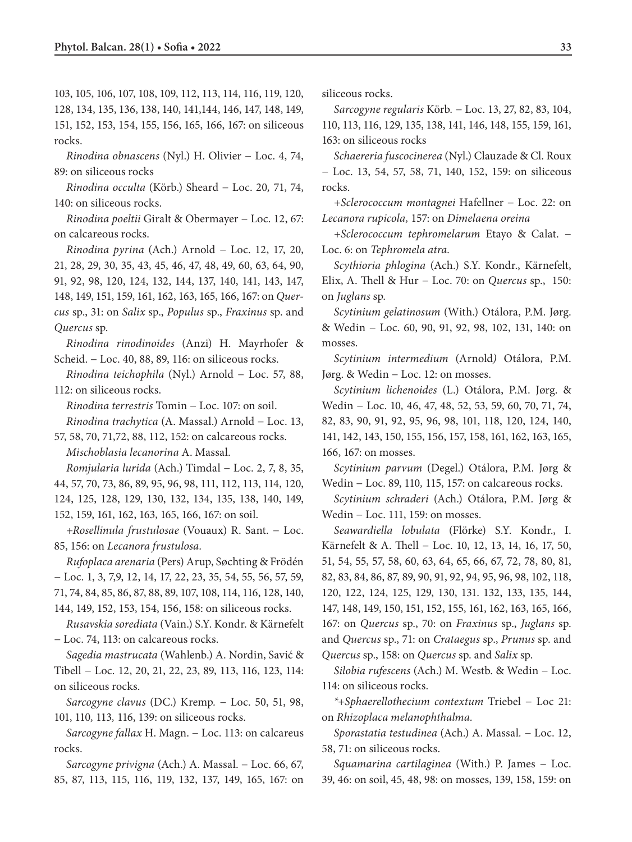103, 105, 106, 107, 108, 109, 112, 113, 114, 116, 119, 120, 128, 134, 135, 136, 138, 140, 141,144, 146, 147, 148, 149, 151, 152, 153, 154, 155, 156, 165, 166, 167: on siliceous rocks.

*Rinodina obnascens* (Nyl.) H. Olivier − Loc. 4, 74, 89: on siliceous rocks

*Rinodina occulta* (Körb.) Sheard − Loc. 20*,* 71, 74, 140: on siliceous rocks.

*Rinodina poeltii* Giralt & Obermayer − Loc. 12, 67: on calcareous rocks.

*Rinodina pyrina* (Ach.) Arnold − Loc. 12, 17, 20, 21, 28, 29, 30, 35, 43, 45, 46, 47, 48, 49, 60, 63, 64, 90, 91, 92, 98, 120, 124, 132, 144, 137, 140, 141, 143, 147, 148, 149, 151, 159, 161, 162, 163, 165, 166, 167: on *Quercus* sp., 31: on *Salix* sp., *Populus* sp., *Fraxinus* sp. and *Quercus* sp.

*Rinodina rinodinoides* (Anzi) H. Mayrhofer & Scheid. − Loc. 40, 88, 89, 116: on siliceous rocks.

*Rinodina teichophila* (Nyl.) Arnold − Loc. 57, 88, 112: on siliceous rocks.

*Rinodina terrestris* Tomin − Loc. 107: on soil.

*Rinodina trachytica* (A. Massal.) Arnold − Loc. 13, 57, 58, 70, 71,72, 88, 112, 152: on calcareous rocks.

*Mischoblasia lecanorina* A. Massal.

*Romjularia lurida* (Ach.) Timdal − Loc. 2, 7, 8, 35,

44, 57, 70, 73, 86, 89, 95, 96, 98, 111, 112, 113, 114, 120,

124, 125, 128, 129, 130, 132, 134, 135, 138, 140, 149,

152, 159, 161, 162, 163, 165, 166, 167: on soil.

*+Rosellinula frustulosae* (Vouaux) R. Sant. − Loc. 85, 156: on *Lecanora frustulosa.*

*Rufoplaca arenaria* (Pers) Arup, Søchting & Frödén − Loc. 1, 3, 7,9, 12, 14, 17, 22, 23, 35, 54, 55, 56, 57, 59, 71, 74, 84, 85, 86, 87, 88, 89, 107, 108, 114, 116, 128, 140,

144, 149, 152, 153, 154, 156, 158: on siliceous rocks.

*Rusavskia sorediata* (Vain.) S.Y. Kondr. & Kärnefelt − Loc. 74, 113: on calcareous rocks.

*Sagedia mastrucata* (Wahlenb.) A. Nordin, Savić & Tibell − Loc. 12, 20, 21, 22, 23, 89, 113, 116, 123, 114: on siliceous rocks.

*Sarcogyne clavus* (DC.) Kremp*.* − Loc. 50, 51, 98, 101, 110*,* 113*,* 116, 139: on siliceous rocks.

*Sarcogyne fallax* H. Magn. − Loc. 113: on calcareus rocks.

*Sarcogyne privigna* (Ach.) A. Massal. − Loc. 66, 67, 85, 87, 113, 115, 116, 119, 132, 137, 149, 165, 167: on

siliceous rocks.

*Sarcogyne regularis* Körb*.* − Loc. 13, 27, 82, 83, 104, 110, 113, 116, 129, 135, 138, 141, 146, 148, 155, 159, 161, 163: on siliceous rocks

*Schaereria fuscocinerea* (Nyl.) Clauzade & Cl. Roux − Loc. 13, 54, 57, 58, 71, 140, 152, 159: on siliceous rocks.

*+Sclerococcum montagnei* Hafellner − Loc. 22: on *Lecanora rupicola,* 157: on *Dimelaena oreina*

*+Sclerococcum tephromelarum* Etayo & Calat. − Loc. 6: on *Tephromela atra.*

*Scythioria phlogina* (Ach.) S.Y. Kondr., Kärnefelt, Elix, A. Thell & Hur − Loc. 70: on *Quercus* sp.,150: on *Juglans* sp*.* 

*Scytinium gelatinosum* (With.) Otálora, P.M. Jørg. & Wedin − Loc. 60, 90, 91, 92, 98, 102, 131, 140: on mosses.

*Scytinium intermedium* (Arnold*)* Otálora, P.M. Jørg. & Wedin − Loc. 12: on mosses.

*Scytinium lichenoides* (L.) Otálora, P.M. Jørg. & Wedin − Loc. 10*,* 46, 47, 48, 52, 53, 59, 60, 70, 71, 74, 82, 83, 90, 91, 92, 95, 96, 98, 101, 118, 120, 124, 140, 141, 142, 143, 150, 155, 156, 157, 158, 161, 162, 163, 165, 166, 167: on mosses.

*Scytinium parvum* (Degel.) Otálora, P.M. Jørg & Wedin − Loc. 89, 110*,* 115, 157: on calcareous rocks.

*Scytinium schraderi* (Ach.) Otálora, P.M. Jørg & Wedin − Loc. 111, 159: on mosses.

*Seawardiella lobulata* (Flörke) S.Y. Kondr., I. Kärnefelt & A. Thell − Loc. 10, 12, 13, 14, 16, 17, 50, 51, 54, 55, 57, 58, 60, 63, 64, 65, 66, 67, 72, 78, 80, 81, 82, 83, 84, 86, 87, 89, 90, 91, 92, 94, 95, 96, 98, 102, 118, 120, 122, 124, 125, 129, 130, 131. 132, 133, 135, 144, 147, 148, 149, 150, 151, 152, 155, 161, 162, 163, 165, 166, 167: on *Quercus* sp., 70: on *Fraxinus* sp., *Juglans* sp. and *Quercus* sp., 71: on *Crataegus* sp., *Prunus* sp. and *Quercus* sp., 158: on *Quercus* sp. and *Salix* sp.

*Silobia rufescens* (Ach.) M. Westb. & Wedin − Loc. 114: on siliceous rocks.

*\*+Sphaerellothecium contextum* Triebel − Loc 21: on *Rhizoplaca melanophthalma.*

*Sporastatia testudinea* (Ach.) A. Massal*.* − Loc. 12, 58, 71: on siliceous rocks.

*Squamarina cartilaginea* (With.) P. James − Loc. 39, 46: on soil, 45, 48, 98: on mosses, 139, 158, 159: on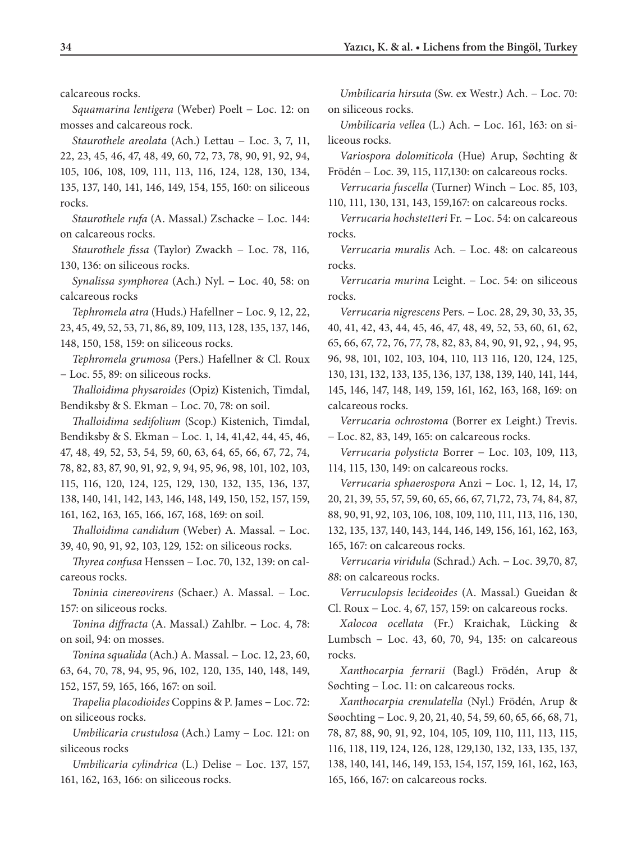calcareous rocks.

*Squamarina lentigera* (Weber) Poelt − Loc. 12: on mosses and calcareous rock.

*Staurothele areolata* (Ach.) Lettau − Loc. 3, 7, 11, 22, 23, 45, 46, 47, 48, 49, 60, 72, 73, 78, 90, 91, 92, 94, 105, 106, 108, 109, 111, 113, 116, 124, 128, 130, 134, 135, 137, 140, 141, 146, 149, 154, 155, 160: on siliceous rocks.

*Staurothele rufa* (A. Massal.) Zschacke − Loc. 144: on calcareous rocks.

*Staurothele fissa* (Taylor) Zwackh − Loc. 78, 116*,*  130, 136: on siliceous rocks.

*Synalissa symphorea* (Ach.) Nyl. − Loc. 40, 58: on calcareous rocks

*Tephromela atra* (Huds.) Hafellner − Loc. 9, 12, 22, 23, 45, 49, 52, 53, 71, 86, 89, 109, 113, 128, 135, 137, 146, 148, 150, 158, 159: on siliceous rocks.

*Tephromela grumosa* (Pers.) Hafellner & Cl. Roux − Loc. 55, 89: on siliceous rocks.

*Thalloidima physaroides* (Opiz) Kistenich, Timdal, Bendiksby & S. Ekman − Loc. 70, 78: on soil.

*Thalloidima sedifolium* (Scop.) Kistenich, Timdal, Bendiksby & S. Ekman − Loc. 1, 14, 41,42, 44, 45, 46, 47, 48, 49, 52, 53, 54, 59, 60, 63, 64, 65, 66, 67, 72, 74, 78, 82, 83, 87, 90, 91, 92, 9, 94, 95, 96, 98, 101, 102, 103, 115, 116, 120, 124, 125, 129, 130, 132, 135, 136, 137, 138, 140, 141, 142, 143, 146, 148, 149, 150, 152, 157, 159, 161, 162, 163, 165, 166, 167, 168, 169: on soil.

*Thalloidima candidum* (Weber) A. Massal*.* − Loc. 39, 40, 90, 91, 92, 103, 129*,* 152: on siliceous rocks.

*Thyrea confusa* Henssen − Loc. 70, 132, 139: on calcareous rocks.

*Toninia cinereovirens* (Schaer.) A. Massal*.* − Loc. 157: on siliceous rocks.

*Tonina diffracta* (A. Massal.) Zahlbr. − Loc. 4, 78: on soil, 94: on mosses.

*Tonina squalida* (Ach.) A. Massal*.* − Loc. 12, 23, 60, 63, 64, 70, 78, 94, 95, 96, 102, 120, 135, 140, 148, 149, 152, 157, 59, 165, 166, 167: on soil.

*Trapelia placodioides* Coppins & P. James − Loc. 72: on siliceous rocks.

*Umbilicaria crustulosa* (Ach.) Lamy − Loc. 121: on siliceous rocks

*Umbilicaria cylindrica* (L.) Delise − Loc. 137, 157, 161, 162, 163, 166: on siliceous rocks.

*Umbilicaria hirsuta* (Sw. ex Westr.) Ach. − Loc. 70: on siliceous rocks.

*Umbilicaria vellea* (L.) Ach. − Loc. 161, 163: on siliceous rocks.

*Variospora dolomiticola* (Hue) Arup, Søchting & Frödén − Loc. 39, 115, 117,130: on calcareous rocks.

*Verrucaria fuscella* (Turner) Winch − Loc. 85, 103, 110, 111, 130, 131, 143, 159,167: on calcareous rocks.

*Verrucaria hochstetteri* Fr*.* − Loc. 54: on calcareous rocks.

*Verrucaria muralis* Ach*.* − Loc. 48: on calcareous rocks.

*Verrucaria murina* Leight. − Loc. 54: on siliceous rocks.

*Verrucaria nigrescens* Pers*.* − Loc. 28, 29, 30, 33, 35, 40, 41, 42, 43, 44, 45, 46, 47, 48, 49, 52, 53, 60, 61, 62, 65, 66, 67, 72, 76, 77, 78, 82, 83, 84, 90, 91, 92, , 94, 95, 96, 98, 101, 102, 103, 104, 110, 113 116, 120, 124, 125, 130, 131, 132, 133, 135, 136, 137, 138, 139, 140, 141, 144, 145, 146, 147, 148, 149, 159, 161, 162, 163, 168, 169: on calcareous rocks.

*Verrucaria ochrostoma* (Borrer ex Leight.) Trevis. − Loc. 82, 83, 149, 165: on calcareous rocks.

*Verrucaria polysticta* Borrer − Loc. 103, 109, 113, 114, 115, 130, 149: on calcareous rocks.

*Verrucaria sphaerospora* Anzi − Loc. 1, 12, 14, 17, 20, 21, 39, 55, 57, 59, 60, 65, 66, 67, 71,72, 73, 74, 84, 87, 88, 90, 91, 92, 103, 106, 108, 109, 110, 111, 113, 116, 130, 132, 135, 137, 140, 143, 144, 146, 149, 156, 161, 162, 163, 165, 167: on calcareous rocks.

*Verrucaria viridula* (Schrad.) Ach*.* − Loc. 39,70, 87, *88*: on calcareous rocks.

*Verruculopsis lecideoides* (A. Massal.) Gueidan & Cl. Roux − Loc. 4, 67, 157, 159: on calcareous rocks.

*Xalocoa ocellata* (Fr.) Kraichak, Lücking & Lumbsch − Loc. 43, 60, 70, 94, 135: on calcareous rocks.

*Xanthocarpia ferrarii* (Bagl.) Frödén, Arup & Søchting − Loc. 11: on calcareous rocks.

*Xanthocarpia crenulatella* (Nyl.) Frödén, Arup & Søochting − Loc. 9, 20, 21, 40, 54, 59, 60, 65, 66, 68, 71, 78, 87, 88, 90, 91, 92, 104, 105, 109, 110, 111, 113, 115, 116, 118, 119, 124, 126, 128, 129,130, 132, 133, 135, 137, 138, 140, 141, 146, 149, 153, 154, 157, 159, 161, 162, 163, 165, 166, 167: on calcareous rocks.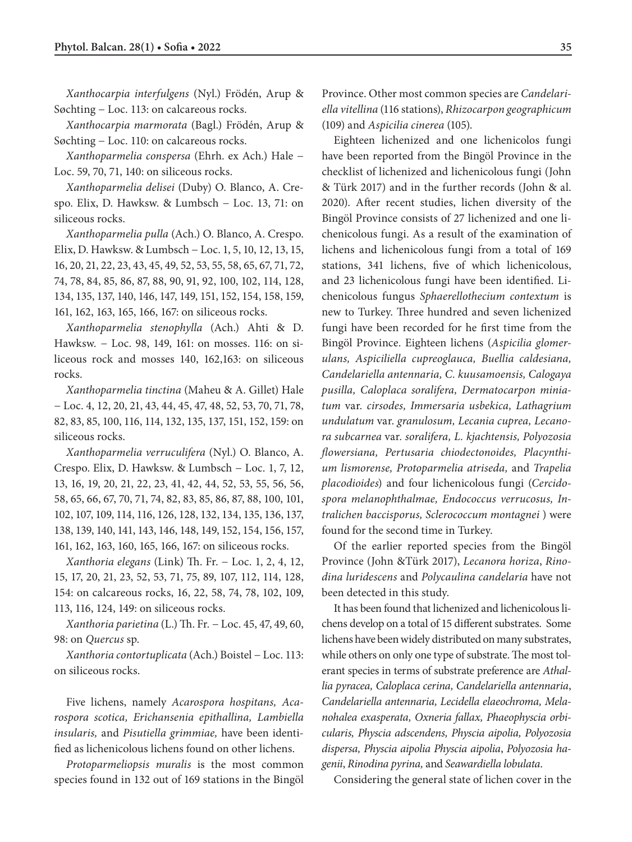*Xanthocarpia interfulgens* (Nyl.) Frödén, Arup & Søchting − Loc. 113: on calcareous rocks.

*Xanthocarpia marmorata* (Bagl.) Frödén, Arup & Søchting − Loc. 110: on calcareous rocks.

*Xanthoparmelia conspersa* (Ehrh. ex Ach*.*) Hale − Loc. 59, 70, 71, 140: on siliceous rocks.

*Xanthoparmelia delisei* (Duby) O. Blanco, A. Crespo. Elix, D. Hawksw. & Lumbsch − Loc. 13, 71: on siliceous rocks.

*Xanthoparmelia pulla* (Ach.) O. Blanco, A. Crespo. Elix, D. Hawksw. & Lumbsch − Loc. 1, 5, 10, 12, 13, 15, 16, 20, 21, 22, 23, 43, 45, 49, 52, 53, 55, 58, 65, 67, 71, 72, 74, 78, 84, 85, 86, 87, 88, 90, 91, 92, 100, 102, 114, 128, 134, 135, 137, 140, 146, 147, 149, 151, 152, 154, 158, 159, 161, 162, 163, 165, 166, 167: on siliceous rocks.

*Xanthoparmelia stenophylla* (Ach.) Ahti & D. Hawksw*.* − Loc. 98, 149, 161: on mosses. 116: on siliceous rock and mosses 140, 162,163: on siliceous rocks.

*Xanthoparmelia tinctina* (Maheu & A. Gillet) Hale − Loc. 4, 12, 20, 21, 43, 44, 45, 47, 48, 52, 53, 70, 71, 78, 82, 83, 85, 100, 116, 114, 132, 135, 137, 151, 152, 159: on siliceous rocks.

*Xanthoparmelia verruculifera* (Nyl.) O. Blanco, A. Crespo. Elix, D. Hawksw. & Lumbsch − Loc. 1, 7, 12, 13, 16, 19, 20, 21, 22, 23, 41, 42, 44, 52, 53, 55, 56, 56, 58, 65, 66, 67, 70, 71, 74, 82, 83, 85, 86, 87, 88, 100, 101, 102, 107, 109, 114, 116, 126, 128, 132, 134, 135, 136, 137, 138, 139, 140, 141, 143, 146, 148, 149, 152, 154, 156, 157, 161, 162, 163, 160, 165, 166, 167: on siliceous rocks.

*Xanthoria elegans* (Link) Th. Fr. − Loc. 1, 2, 4, 12, 15, 17, 20, 21, 23, 52, 53, 71, 75, 89, 107, 112, 114, 128, 154: on calcareous rocks, 16, 22, 58, 74, 78, 102, 109, 113, 116, 124, 149: on siliceous rocks.

*Xanthoria parietina* (L.) Th. Fr*.* − Loc. 45, 47, 49, 60, 98: on *Quercus* sp.

*Xanthoria contortuplicata* (Ach.) Boistel − Loc. 113: on siliceous rocks.

Five lichens, namely *Acarospora hospitans, Acarospora scotica, Erichansenia epithallina, Lambiella insularis,* and *Pisutiella grimmiae,* have been identified as lichenicolous lichens found on other lichens.

*Protoparmeliopsis muralis* is the most common species found in 132 out of 169 stations in the Bingöl Province. Other most common species are *Candelariella vitellina* (116 stations), *Rhizocarpon geographicum* (109) and *Aspicilia cinerea* (105).

Eighteen lichenized and one lichenicolos fungi have been reported from the Bingöl Province in the checklist of lichenized and lichenicolous fungi (John & Türk 2017) and in the further records (John & al. 2020). After recent studies, lichen diversity of the Bingöl Province consists of 27 lichenized and one lichenicolous fungi. As a result of the examination of lichens and lichenicolous fungi from a total of 169 stations, 341 lichens, five of which lichenicolous, and 23 lichenicolous fungi have been identified. Lichenicolous fungus *Sphaerellothecium contextum* is new to Turkey. Three hundred and seven lichenized fungi have been recorded for he first time from the Bingöl Province. Eighteen lichens (*Aspicilia glomerulans, Aspiciliella cupreoglauca, Buellia caldesiana, Candelariella antennaria, C. kuusamoensis, Calogaya pusilla, Caloplaca soralifera, Dermatocarpon miniatum* var*. cirsodes, Immersaria usbekica, Lathagrium undulatum* var. *granulosum, Lecania cuprea, Lecanora subcarnea* var*. soralifera, L. kjachtensis, Polyozosia flowersiana, Pertusaria chiodectonoides, Placynthium lismorense, Protoparmelia atriseda,* and *Trapelia placodioides*) and four lichenicolous fungi (*Cercidospora melanophthalmae, Endococcus verrucosus, Intralichen baccisporus, Sclerococcum montagnei* ) were found for the second time in Turkey.

Of the earlier reported species from the Bingöl Province (John &Türk 2017), *Lecanora horiza*, *Rinodina luridescens* and *Polycaulina candelaria* have not been detected in this study.

It has been found that lichenized and lichenicolous lichens develop on a total of 15 different substrates. Some lichens have been widely distributed on many substrates, while others on only one type of substrate. The most tolerant species in terms of substrate preference are *Athallia pyracea, Caloplaca cerina, Candelariella antennaria*, *Candelariella antennaria, Lecidella elaeochroma, Melanohalea exasperata, Oxneria fallax, Phaeophyscia orbicularis, Physcia adscendens, Physcia aipolia, Polyozosia dispersa, Physcia aipolia Physcia aipolia*, *Polyozosia hagenii*, *Rinodina pyrina,* and *Seawardiella lobulata*.

Considering the general state of lichen cover in the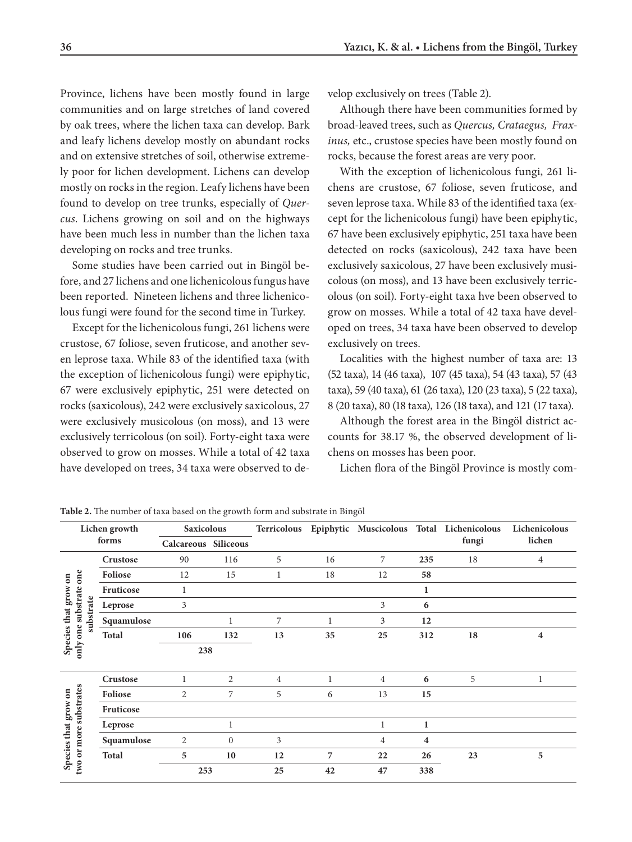Province, lichens have been mostly found in large communities and on large stretches of land covered by oak trees, where the lichen taxa can develop. Bark and leafy lichens develop mostly on abundant rocks and on extensive stretches of soil, otherwise extremely poor for lichen development. Lichens can develop mostly on rocks in the region. Leafy lichens have been found to develop on tree trunks, especially of *Quercus*. Lichens growing on soil and on the highways have been much less in number than the lichen taxa developing on rocks and tree trunks.

Some studies have been carried out in Bingöl before, and 27 lichens and one lichenicolous fungus have been reported. Nineteen lichens and three lichenicolous fungi were found for the second time in Turkey.

Except for the lichenicolous fungi, 261 lichens were crustose, 67 foliose, seven fruticose, and another seven leprose taxa. While 83 of the identified taxa (with the exception of lichenicolous fungi) were epiphytic, 67 were exclusively epiphytic, 251 were detected on rocks (saxicolous), 242 were exclusively saxicolous, 27 were exclusively musicolous (on moss), and 13 were exclusively terricolous (on soil). Forty-eight taxa were observed to grow on mosses. While a total of 42 taxa have developed on trees, 34 taxa were observed to develop exclusively on trees (Table 2).

Although there have been communities formed by broad-leaved trees, such as *Quercus, Crataegus, Fraxinus,* etc., crustose species have been mostly found on rocks, because the forest areas are very poor.

With the exception of lichenicolous fungi, 261 lichens are crustose, 67 foliose, seven fruticose, and seven leprose taxa. While 83 of the identified taxa (except for the lichenicolous fungi) have been epiphytic, 67 have been exclusively epiphytic, 251 taxa have been detected on rocks (saxicolous), 242 taxa have been exclusively saxicolous, 27 have been exclusively musicolous (on moss), and 13 have been exclusively terricolous (on soil). Forty-eight taxa hve been observed to grow on mosses. While a total of 42 taxa have developed on trees, 34 taxa have been observed to develop exclusively on trees.

Localities with the highest number of taxa are: 13 (52 taxa), 14 (46 taxa), 107 (45 taxa), 54 (43 taxa), 57 (43 taxa), 59 (40 taxa), 61 (26 taxa), 120 (23 taxa), 5 (22 taxa), 8 (20 taxa), 80 (18 taxa), 126 (18 taxa), and 121 (17 taxa).

Although the forest area in the Bingöl district accounts for 38.17 %, the observed development of lichens on mosses has been poor.

Lichen flora of the Bingöl Province is mostly com-

| Lichen growth<br>forms                         |                      | <b>Saxicolous</b>    |              | Terricolous    |              | Epiphytic Muscicolous Total Lichenicolous |                | Lichenicolous |                         |
|------------------------------------------------|----------------------|----------------------|--------------|----------------|--------------|-------------------------------------------|----------------|---------------|-------------------------|
|                                                |                      | Calcareous Siliceous |              |                |              |                                           |                | fungi         | lichen                  |
|                                                | Crustose             | 90                   | 116          | 5              | 16           | 7                                         | 235            | 18            | $\overline{4}$          |
| $\mathbf{g}$                                   | Foliose              | 12                   | 15           |                | 18           | 12                                        | 58             |               |                         |
|                                                | Fruticose            | 1                    |              |                |              |                                           | 1              |               |                         |
| only one substrate one<br>Species that grow    | substrate<br>Leprose | 3                    |              |                |              | 3                                         | 6              |               |                         |
|                                                | Squamulose           |                      | 1            | 7              | $\mathbf{1}$ | 3                                         | 12             |               |                         |
|                                                | <b>Total</b>         | 106                  | 132          | 13             | 35           | 25                                        | 312            | 18            | $\overline{\mathbf{4}}$ |
|                                                |                      | 238                  |              |                |              |                                           |                |               |                         |
|                                                | Crustose             |                      | 2            | $\overline{4}$ | 1            | 4                                         | 6              | 5             | 1                       |
|                                                | Foliose              | 2                    | 7            | 5              | 6            | 13                                        | 15             |               |                         |
|                                                | Fruticose            |                      |              |                |              |                                           |                |               |                         |
|                                                | Leprose              |                      | $\mathbf{1}$ |                |              | $\mathbf{1}$                              | 1              |               |                         |
|                                                | Squamulose           | 2                    | $\mathbf{0}$ | 3              |              | 4                                         | $\overline{4}$ |               |                         |
| two or more substrates<br>Species that grow on | <b>Total</b>         | 5                    | 10           | 12             | 7            | 22                                        | 26             | 23            | 5                       |
|                                                |                      | 253                  |              | 25             | 42           | 47                                        | 338            |               |                         |

**Table 2.** The number of taxa based on the growth form and substrate in Bingöl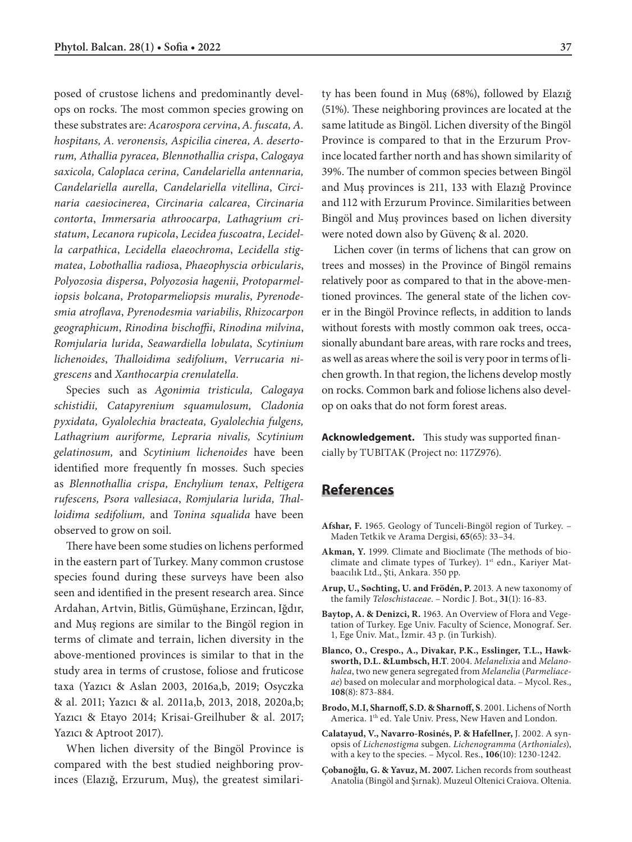posed of crustose lichens and predominantly develops on rocks. The most common species growing on these substrates are: *Acarospora cervina*, *A. fuscata, A. hospitans, A. veronensis, Aspicilia cinerea, A. desertorum, Athallia pyracea, Blennothallia crispa*, *Calogaya saxicola, Caloplaca cerina, Candelariella antennaria, Candelariella aurella, Candelariella vitellina*, *Circinaria caesiocinerea*, *Circinaria calcarea*, *Circinaria contorta*, *Immersaria athroocarpa, Lathagrium cristatum*, *Lecanora rupicola*, *Lecidea fuscoatra*, *Lecidella carpathica*, *Lecidella elaeochroma*, *Lecidella stigmatea*, *Lobothallia radios*a, *Phaeophyscia orbicularis*, *Polyozosia dispersa*, *Polyozosia hagenii*, *Protoparmeliopsis bolcana*, *Protoparmeliopsis muralis*, *Pyrenodesmia atroflava*, *Pyrenodesmia variabilis*, *Rhizocarpon geographicum*, *Rinodina bischoffii*, *Rinodina milvina*, *Romjularia lurida*, *Seawardiella lobulata*, *Scytinium lichenoides*, *Thalloidima sedifolium*, *Verrucaria nigrescens* and *Xanthocarpia crenulatella.*

Species such as *Agonimia tristicula, Calogaya schistidii, Catapyrenium squamulosum, Cladonia pyxidata, Gyalolechia bracteata, Gyalolechia fulgens, Lathagrium auriforme, Lepraria nivalis, Scytinium gelatinosum,* and *Scytinium lichenoides* have been identified more frequently fn mosses. Such species as *Blennothallia crispa, Enchylium tenax*, *Peltigera rufescens, Psora vallesiaca*, *Romjularia lurida, Thalloidima sedifolium,* and *Tonina squalida* have been observed to grow on soil.

There have been some studies on lichens performed in the eastern part of Turkey. Many common crustose species found during these surveys have been also seen and identified in the present research area. Since Ardahan, Artvin, Bitlis, Gümüşhane, Erzincan, Iğdır, and Muş regions are similar to the Bingöl region in terms of climate and terrain, lichen diversity in the above-mentioned provinces is similar to that in the study area in terms of crustose, foliose and fruticose taxa (Yazıcı & Aslan 2003, 2016a,b, 2019; Osyczka & al. 2011; Yazıcı & al. 2011a,b, 2013, 2018, 2020a,b; Yazıcı & Etayo 2014; Krisai-Greilhuber & al. 2017; Yazıcı & Aptroot 2017).

When lichen diversity of the Bingöl Province is compared with the best studied neighboring provinces (Elazığ, Erzurum, Muş), the greatest similarity has been found in Muş (68%), followed by Elazığ (51%). These neighboring provinces are located at the same latitude as Bingöl. Lichen diversity of the Bingöl Province is compared to that in the Erzurum Province located farther north and has shown similarity of 39%. The number of common species between Bingöl and Muş provinces is 211, 133 with Elazığ Province and 112 with Erzurum Province. Similarities between Bingöl and Muş provinces based on lichen diversity were noted down also by Güvenç & al. 2020.

Lichen cover (in terms of lichens that can grow on trees and mosses) in the Province of Bingöl remains relatively poor as compared to that in the above-mentioned provinces. The general state of the lichen cover in the Bingöl Province reflects, in addition to lands without forests with mostly common oak trees, occasionally abundant bare areas, with rare rocks and trees, as well as areas where the soil is very poor in terms of lichen growth. In that region, the lichens develop mostly on rocks. Common bark and foliose lichens also develop on oaks that do not form forest areas.

**Acknowledgement.** This study was supported financially by TUBITAK (Project no: 117Z976).

## **References**

- **Afshar, F.** 1965. Geology of Tunceli-Bingöl region of Turkey. Maden Tetkik ve Arama Dergisi, **65**(65): 33–34.
- **Akman, Y.** 1999. Climate and Bioclimate (The methods of bioclimate and climate types of Turkey). 1<sup>st</sup> edn., Kariyer Matbaacılık Ltd., Şti, Ankara. 350 pp.
- **Arup, U., Søchting, U. and Frödén, P.** 2013. A new taxonomy of the family *Teloschistaceae*. – Nordic J. Bot., **31**(1): 16-83.
- **Baytop, A. & Denizci, R.** 1963. An Overview of Flora and Vegetation of Turkey. Ege Univ. Faculty of Science, Monograf. Ser. 1, Ege Üniv. Mat., İzmir. 43 p. (in Turkish).
- **Blanco, O., Crespo., A., Divakar, P.K., Esslinger, T.L., Hawksworth, D.L. &Lumbsch, H.T**. 2004. *Melanelixia* and *Melanohalea*, two new genera segregated from *Melanelia* (*Parmeliaceae*) based on molecular and morphological data. – Mycol. Res., **108**(8): 873-884.
- **Brodo, M.I, Sharnoff, S.D. & Sharnoff, S**. 2001. Lichens of North America. 1<sup>th</sup> ed. Yale Univ. Press, New Haven and London.
- **Calatayud, V., Navarro-Rosinés, P. & Hafellner,** J. 2002. A synopsis of *Lichenostigma* subgen. *Lichenogramma* (*Arthoniales*), with a key to the species. – Mycol. Res., **106**(10): 1230-1242.
- **Çobanoğlu, G. & Yavuz, M. 2007.** Lichen records from southeast Anatolia (Bingöl and Şırnak). Muzeul Oltenici Craiova. Oltenia.